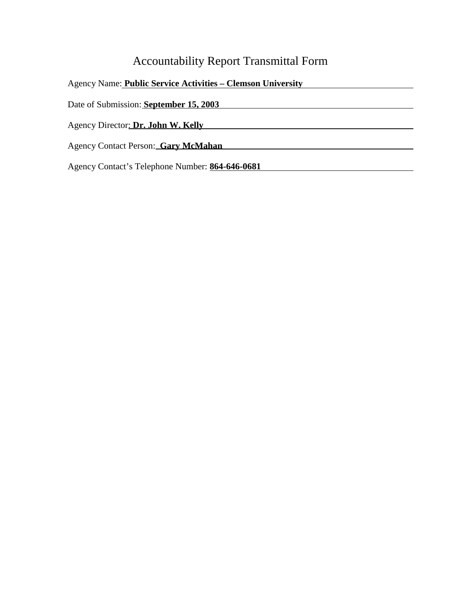# Accountability Report Transmittal Form

| <b>Agency Name: Public Service Activities – Clemson University</b> |
|--------------------------------------------------------------------|
| Date of Submission: September 15, 2003                             |
| Agency Director: Dr. John W. Kelly                                 |
| Agency Contact Person: Gary McMahan                                |
| Agency Contact's Telephone Number: 864-646-0681                    |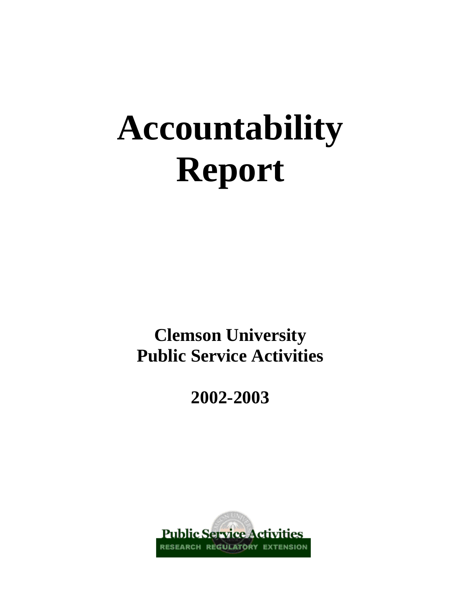# **Accountability Report**

**Clemson University Public Service Activities**

**2002-2003**

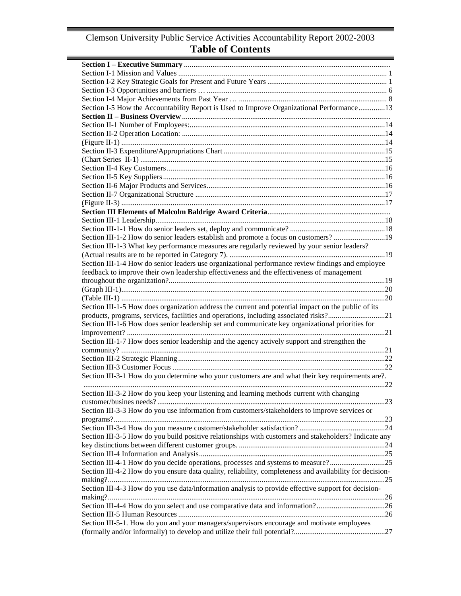## Clemson University Public Service Activities Accountability Report 2002-2003 **Table of Contents**

| Section I-5 How the Accountability Report is Used to Improve Organizational Performance13                |  |
|----------------------------------------------------------------------------------------------------------|--|
|                                                                                                          |  |
|                                                                                                          |  |
|                                                                                                          |  |
|                                                                                                          |  |
|                                                                                                          |  |
|                                                                                                          |  |
|                                                                                                          |  |
|                                                                                                          |  |
|                                                                                                          |  |
|                                                                                                          |  |
|                                                                                                          |  |
|                                                                                                          |  |
|                                                                                                          |  |
|                                                                                                          |  |
| Section III-1-2 How do senior leaders establish and promote a focus on customers?19                      |  |
| Section III-1-3 What key performance measures are regularly reviewed by your senior leaders?             |  |
|                                                                                                          |  |
| Section III-1-4 How do senior leaders use organizational performance review findings and employee        |  |
| feedback to improve their own leadership effectiveness and the effectiveness of management               |  |
|                                                                                                          |  |
|                                                                                                          |  |
|                                                                                                          |  |
| Section III-1-5 How does organization address the current and potential impact on the public of its      |  |
| products, programs, services, facilities and operations, including associated risks?21                   |  |
| Section III-1-6 How does senior leadership set and communicate key organizational priorities for         |  |
|                                                                                                          |  |
| Section III-1-7 How does senior leadership and the agency actively support and strengthen the            |  |
|                                                                                                          |  |
|                                                                                                          |  |
|                                                                                                          |  |
| Section III-3-1 How do you determine who your customers are and what their key requirements are?.        |  |
|                                                                                                          |  |
| Section III-3-2 How do you keep your listening and learning methods current with changing                |  |
|                                                                                                          |  |
| Section III-3-3 How do you use information from customers/stakeholders to improve services or            |  |
|                                                                                                          |  |
|                                                                                                          |  |
| Section III-3-5 How do you build positive relationships with customers and stakeholders? Indicate any    |  |
|                                                                                                          |  |
|                                                                                                          |  |
| Section III-4-1 How do you decide operations, processes and systems to measure?25                        |  |
| Section III-4-2 How do you ensure data quality, reliability, completeness and availability for decision- |  |
|                                                                                                          |  |
| Section III-4-3 How do you use data/information analysis to provide effective support for decision-      |  |
|                                                                                                          |  |
| Section III-4-4 How do you select and use comparative data and information?26                            |  |
|                                                                                                          |  |
| Section III-5-1. How do you and your managers/supervisors encourage and motivate employees               |  |
|                                                                                                          |  |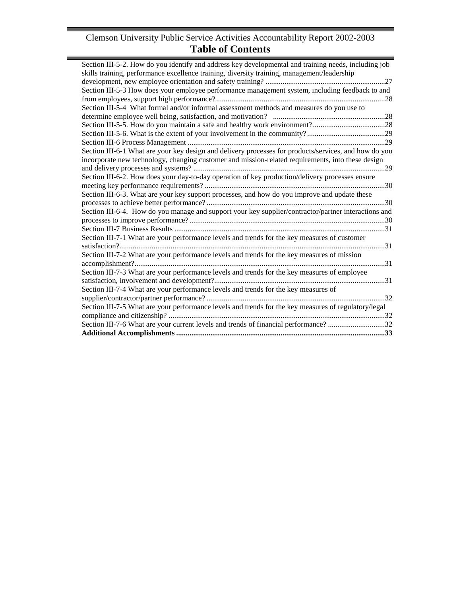## Clemson University Public Service Activities Accountability Report 2002-2003 **Table of Contents**

Ē.

| Section III-5-2. How do you identify and address key developmental and training needs, including job  |
|-------------------------------------------------------------------------------------------------------|
| skills training, performance excellence training, diversity training, management/leadership           |
|                                                                                                       |
| Section III-5-3 How does your employee performance management system, including feedback to and       |
|                                                                                                       |
| Section III-5-4 What formal and/or informal assessment methods and measures do you use to             |
|                                                                                                       |
|                                                                                                       |
|                                                                                                       |
|                                                                                                       |
| Section III-6-1 What are your key design and delivery processes for products/services, and how do you |
| incorporate new technology, changing customer and mission-related requirements, into these design     |
|                                                                                                       |
| Section III-6-2. How does your day-to-day operation of key production/delivery processes ensure       |
|                                                                                                       |
| Section III-6-3. What are your key support processes, and how do you improve and update these         |
|                                                                                                       |
| Section III-6-4. How do you manage and support your key supplier/contractor/partner interactions and  |
|                                                                                                       |
|                                                                                                       |
| Section III-7-1 What are your performance levels and trends for the key measures of customer          |
|                                                                                                       |
| Section III-7-2 What are your performance levels and trends for the key measures of mission           |
|                                                                                                       |
| Section III-7-3 What are your performance levels and trends for the key measures of employee          |
|                                                                                                       |
| Section III-7-4 What are your performance levels and trends for the key measures of                   |
|                                                                                                       |
| Section III-7-5 What are your performance levels and trends for the key measures of regulatory/legal  |
|                                                                                                       |
| Section III-7-6 What are your current levels and trends of financial performance?32                   |
|                                                                                                       |
|                                                                                                       |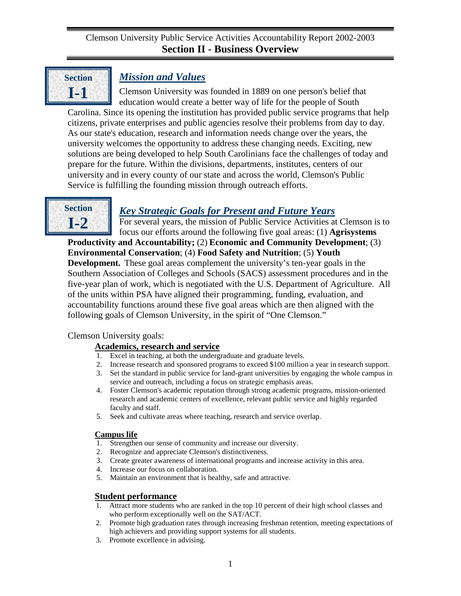<span id="page-4-0"></span>

# *Mission and Values*

Clemson University was founded in 1889 on one person's belief that education would create a better way of life for the people of South Carolina. Since its opening the institution has provided public service programs that help citizens, private enterprises and public agencies resolve their problems from day to day. As our state's education, research and information needs change over the years, the university welcomes the opportunity to address these changing needs. Exciting, new solutions are being developed to help South Carolinians face the challenges of today and prepare for the future. Within the divisions, departments, institutes, centers of our university and in every county of our state and across the world, Clemson's Public Service is fulfilling the founding mission through outreach efforts.



## *Key Strategic Goals for Present and Future Years*

For several years, the mission of Public Service Activities at Clemson is to focus our efforts around the following five goal areas: (1) **Agrisystems** 

**Productivity and Accountability;** (2) **Economic and Community Development**; (3) **Environmental Conservation**; (4) **Food Safety and Nutrition**; (5) **Youth Development.** These goal areas complement the university's ten-year goals in the Southern Association of Colleges and Schools (SACS) assessment procedures and in the five-year plan of work, which is negotiated with the U.S. Department of Agriculture. All of the units within PSA have aligned their programming, funding, evaluation, and accountability functions around these five goal areas which are then aligned with the following goals of Clemson University, in the spirit of "One Clemson."

Clemson University goals:

## **Academics, research and service**

- 1. Excel in teaching, at both the undergraduate and graduate levels.
- 2. Increase research and sponsored programs to exceed \$100 million a year in research support.
- 3. Set the standard in public service for land-grant universities by engaging the whole campus in service and outreach, including a focus on strategic emphasis areas.
- 4. Foster Clemson's academic reputation through strong academic programs, mission-oriented research and academic centers of excellence, relevant public service and highly regarded faculty and staff.
- 5. Seek and cultivate areas where teaching, research and service overlap.

### **Campus life**

- 1. Strengthen our sense of community and increase our diversity.
- 2. Recognize and appreciate Clemson's distinctiveness.
- 3. Create greater awareness of international programs and increase activity in this area.
- 4. Increase our focus on collaboration.
- 5. Maintain an environment that is healthy, safe and attractive.

# **Student performance**<br>1. Attract more students v

- Attract more students who are ranked in the top 10 percent of their high school classes and who perform exceptionally well on the SAT/ACT.
- 2. Promote high graduation rates through increasing freshman retention, meeting expectations of high achievers and providing support systems for all students.
- 3. Promote excellence in advising.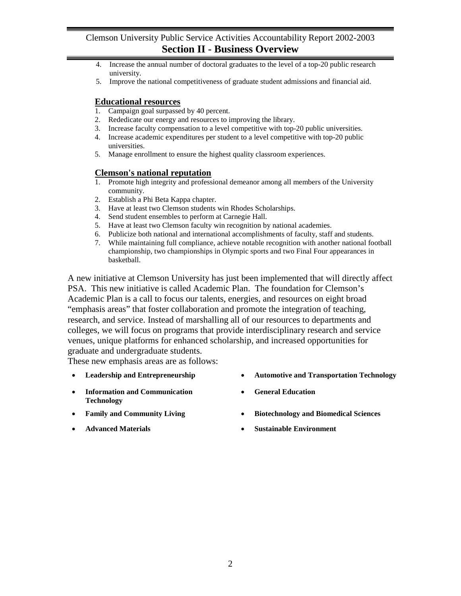- 4. Increase the annual number of doctoral graduates to the level of a top-20 public research university.
- 5. Improve the national competitiveness of graduate student admissions and financial aid.

## **Educational resources**

- 1. Campaign goal surpassed by 40 percent.
- 2. Rededicate our energy and resources to improving the library.
- 3. Increase faculty compensation to a level competitive with top-20 public universities.
- 4. Increase academic expenditures per student to a level competitive with top-20 public universities.
- 5. Manage enrollment to ensure the highest quality classroom experiences.

#### **Clemson's national reputation**

- 1. Promote high integrity and professional demeanor among all members of the University community.
- 2. Establish a Phi Beta Kappa chapter.
- 3. Have at least two Clemson students win Rhodes Scholarships.
- 4. Send student ensembles to perform at Carnegie Hall.
- 5. Have at least two Clemson faculty win recognition by national academies.
- 6. Publicize both national and international accomplishments of faculty, staff and students.
- 7. While maintaining full compliance, achieve notable recognition with another national football championship, two championships in Olympic sports and two Final Four appearances in basketball.

A new initiative at Clemson University has just been implemented that will directly affect PSA. This new initiative is called Academic Plan. The foundation for Clemson's Academic Plan is a call to focus our talents, energies, and resources on eight broad "emphasis areas" that foster collaboration and promote the integration of teaching, research, and service. Instead of marshalling all of our resources to departments and colleges, we will focus on programs that provide interdisciplinary research and service venues, unique platforms for enhanced scholarship, and increased opportunities for graduate and undergraduate students.

These new emphasis areas are as follows:

- 
- **Information and Communication Technology**
- 
- 
- **Leadership and Entrepreneurship Automotive and Transportation Technology** 
	- **General Education**
- **Family and Community Living Biotechnology and Biomedical Sciences**
- **Advanced Materials Sustainable Environment**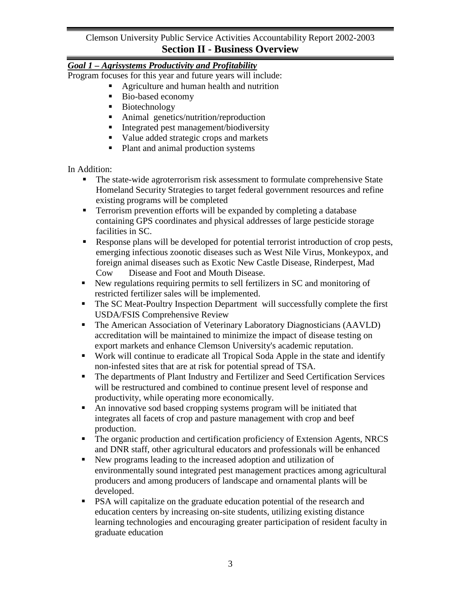## *Goal 1 – Agrisystems Productivity and Profitability*

Program focuses for this year and future years will include:

- Agriculture and human health and nutrition
- Bio-based economy
- **Biotechnology**
- Animal genetics/nutrition/reproduction
- Integrated pest management/biodiversity
- Value added strategic crops and markets
- Plant and animal production systems

In Addition:

- The state-wide agroterrorism risk assessment to formulate comprehensive State Homeland Security Strategies to target federal government resources and refine existing programs will be completed
- **Terrorism prevention efforts will be expanded by completing a database** containing GPS coordinates and physical addresses of large pesticide storage facilities in SC.
- Response plans will be developed for potential terrorist introduction of crop pests, emerging infectious zoonotic diseases such as West Nile Virus, Monkeypox, and foreign animal diseases such as Exotic New Castle Disease, Rinderpest, Mad Cow Disease and Foot and Mouth Disease.
- New regulations requiring permits to sell fertilizers in SC and monitoring of restricted fertilizer sales will be implemented.
- The SC Meat-Poultry Inspection Department will successfully complete the first USDA/FSIS Comprehensive Review
- The American Association of Veterinary Laboratory Diagnosticians (AAVLD) accreditation will be maintained to minimize the impact of disease testing on export markets and enhance Clemson University's academic reputation.
- Work will continue to eradicate all Tropical Soda Apple in the state and identify non-infested sites that are at risk for potential spread of TSA.
- The departments of Plant Industry and Fertilizer and Seed Certification Services will be restructured and combined to continue present level of response and productivity, while operating more economically.
- An innovative sod based cropping systems program will be initiated that integrates all facets of crop and pasture management with crop and beef production.
- The organic production and certification proficiency of Extension Agents, NRCS and DNR staff, other agricultural educators and professionals will be enhanced
- New programs leading to the increased adoption and utilization of environmentally sound integrated pest management practices among agricultural producers and among producers of landscape and ornamental plants will be developed.
- PSA will capitalize on the graduate education potential of the research and education centers by increasing on-site students, utilizing existing distance learning technologies and encouraging greater participation of resident faculty in graduate education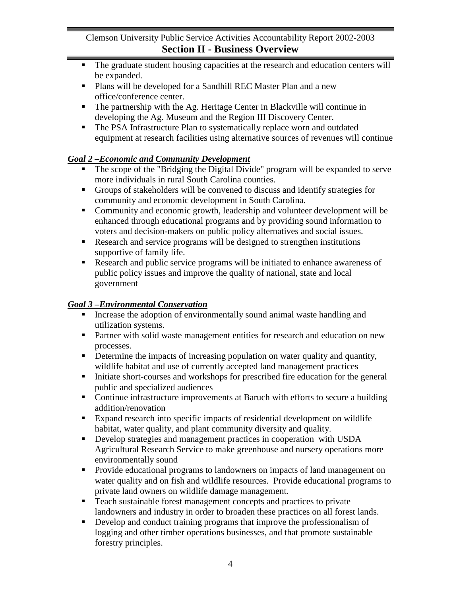- The graduate student housing capacities at the research and education centers will be expanded.
- **Plans will be developed for a Sandhill REC Master Plan and a new** office/conference center.
- The partnership with the Ag. Heritage Center in Blackville will continue in developing the Ag. Museum and the Region III Discovery Center.
- The PSA Infrastructure Plan to systematically replace worn and outdated equipment at research facilities using alternative sources of revenues will continue

## *Goal 2 –Economic and Community Development*

- The scope of the "Bridging the Digital Divide" program will be expanded to serve more individuals in rural South Carolina counties.
- Groups of stakeholders will be convened to discuss and identify strategies for community and economic development in South Carolina.
- Community and economic growth, leadership and volunteer development will be enhanced through educational programs and by providing sound information to voters and decision-makers on public policy alternatives and social issues.
- Research and service programs will be designed to strengthen institutions supportive of family life.
- Research and public service programs will be initiated to enhance awareness of public policy issues and improve the quality of national, state and local government

## *Goal 3 –Environmental Conservation*

- Increase the adoption of environmentally sound animal waste handling and utilization systems.
- **Partner with solid waste management entities for research and education on new** processes.
- Determine the impacts of increasing population on water quality and quantity, wildlife habitat and use of currently accepted land management practices
- Initiate short-courses and workshops for prescribed fire education for the general public and specialized audiences
- Continue infrastructure improvements at Baruch with efforts to secure a building addition/renovation
- Expand research into specific impacts of residential development on wildlife habitat, water quality, and plant community diversity and quality.
- Develop strategies and management practices in cooperation with USDA Agricultural Research Service to make greenhouse and nursery operations more environmentally sound
- Provide educational programs to landowners on impacts of land management on water quality and on fish and wildlife resources. Provide educational programs to private land owners on wildlife damage management.
- Teach sustainable forest management concepts and practices to private landowners and industry in order to broaden these practices on all forest lands.
- Develop and conduct training programs that improve the professionalism of logging and other timber operations businesses, and that promote sustainable forestry principles.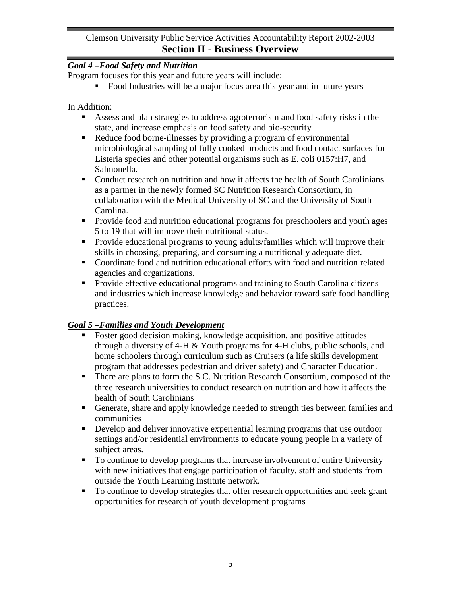## *Goal 4 –Food Safety and Nutrition*

Program focuses for this year and future years will include:

Food Industries will be a major focus area this year and in future years

In Addition:

- Assess and plan strategies to address agroterrorism and food safety risks in the state, and increase emphasis on food safety and bio-security
- Reduce food borne-illnesses by providing a program of environmental microbiological sampling of fully cooked products and food contact surfaces for Listeria species and other potential organisms such as E. coli 0157:H7, and Salmonella.
- Conduct research on nutrition and how it affects the health of South Carolinians as a partner in the newly formed SC Nutrition Research Consortium, in collaboration with the Medical University of SC and the University of South Carolina.
- Provide food and nutrition educational programs for preschoolers and youth ages 5 to 19 that will improve their nutritional status.
- **Provide educational programs to young adults/families which will improve their** skills in choosing, preparing, and consuming a nutritionally adequate diet.
- Coordinate food and nutrition educational efforts with food and nutrition related agencies and organizations.
- **Provide effective educational programs and training to South Carolina citizens** and industries which increase knowledge and behavior toward safe food handling practices.

## *Goal 5 –Families and Youth Development*

- Foster good decision making, knowledge acquisition, and positive attitudes through a diversity of 4-H & Youth programs for 4-H clubs, public schools, and home schoolers through curriculum such as Cruisers (a life skills development program that addresses pedestrian and driver safety) and Character Education.
- There are plans to form the S.C. Nutrition Research Consortium, composed of the three research universities to conduct research on nutrition and how it affects the health of South Carolinians
- Generate, share and apply knowledge needed to strength ties between families and communities
- Develop and deliver innovative experiential learning programs that use outdoor settings and/or residential environments to educate young people in a variety of subject areas.
- To continue to develop programs that increase involvement of entire University with new initiatives that engage participation of faculty, staff and students from outside the Youth Learning Institute network.
- To continue to develop strategies that offer research opportunities and seek grant opportunities for research of youth development programs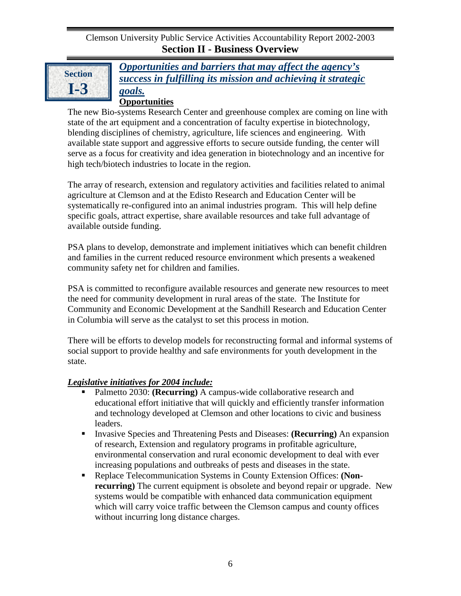

*Opportunities and barriers that may affect the agency's success in fulfilling its mission and achieving it strategic goals.*

## **Opportunities**

The new Bio-systems Research Center and greenhouse complex are coming on line with state of the art equipment and a concentration of faculty expertise in biotechnology, blending disciplines of chemistry, agriculture, life sciences and engineering. With available state support and aggressive efforts to secure outside funding, the center will serve as a focus for creativity and idea generation in biotechnology and an incentive for high tech/biotech industries to locate in the region.

The array of research, extension and regulatory activities and facilities related to animal agriculture at Clemson and at the Edisto Research and Education Center will be systematically re-configured into an animal industries program. This will help define specific goals, attract expertise, share available resources and take full advantage of available outside funding.

PSA plans to develop, demonstrate and implement initiatives which can benefit children and families in the current reduced resource environment which presents a weakened community safety net for children and families.

PSA is committed to reconfigure available resources and generate new resources to meet the need for community development in rural areas of the state. The Institute for Community and Economic Development at the Sandhill Research and Education Center in Columbia will serve as the catalyst to set this process in motion.

There will be efforts to develop models for reconstructing formal and informal systems of social support to provide healthy and safe environments for youth development in the state.

## *Legislative initiatives for 2004 include:*

- **Palmetto 2030: (Recurring)** A campus-wide collaborative research and educational effort initiative that will quickly and efficiently transfer information and technology developed at Clemson and other locations to civic and business leaders.
- Invasive Species and Threatening Pests and Diseases: **(Recurring)** An expansion of research, Extension and regulatory programs in profitable agriculture, environmental conservation and rural economic development to deal with ever increasing populations and outbreaks of pests and diseases in the state.
- Replace Telecommunication Systems in County Extension Offices: **(Nonrecurring**) The current equipment is obsolete and beyond repair or upgrade. New systems would be compatible with enhanced data communication equipment which will carry voice traffic between the Clemson campus and county offices without incurring long distance charges.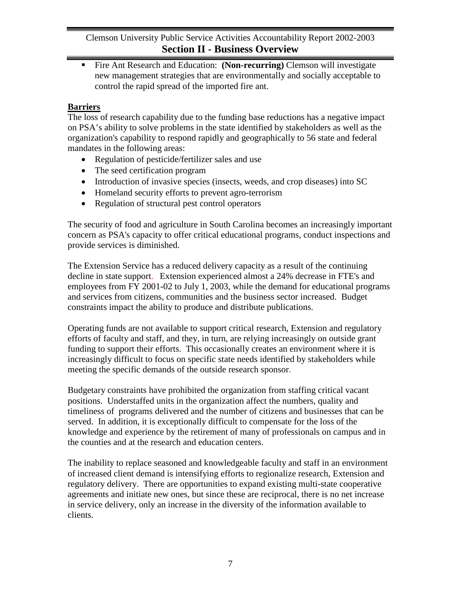Fire Ant Research and Education: **(Non-recurring)** Clemson will investigate new management strategies that are environmentally and socially acceptable to control the rapid spread of the imported fire ant.

## **Barriers**

The loss of research capability due to the funding base reductions has a negative impact on PSA's ability to solve problems in the state identified by stakeholders as well as the organization's capability to respond rapidly and geographically to 56 state and federal mandates in the following areas:

- Regulation of pesticide/fertilizer sales and use
- The seed certification program
- Introduction of invasive species (insects, weeds, and crop diseases) into SC
- Homeland security efforts to prevent agro-terrorism
- Regulation of structural pest control operators

The security of food and agriculture in South Carolina becomes an increasingly important concern as PSA's capacity to offer critical educational programs, conduct inspections and provide services is diminished.

The Extension Service has a reduced delivery capacity as a result of the continuing decline in state support. Extension experienced almost a 24% decrease in FTE's and employees from FY 2001-02 to July 1, 2003, while the demand for educational programs and services from citizens, communities and the business sector increased. Budget constraints impact the ability to produce and distribute publications.

Operating funds are not available to support critical research, Extension and regulatory efforts of faculty and staff, and they, in turn, are relying increasingly on outside grant funding to support their efforts. This occasionally creates an environment where it is increasingly difficult to focus on specific state needs identified by stakeholders while meeting the specific demands of the outside research sponsor.

Budgetary constraints have prohibited the organization from staffing critical vacant positions. Understaffed units in the organization affect the numbers, quality and timeliness of programs delivered and the number of citizens and businesses that can be served. In addition, it is exceptionally difficult to compensate for the loss of the knowledge and experience by the retirement of many of professionals on campus and in the counties and at the research and education centers.

The inability to replace seasoned and knowledgeable faculty and staff in an environment of increased client demand is intensifying efforts to regionalize research, Extension and regulatory delivery. There are opportunities to expand existing multi-state cooperative agreements and initiate new ones, but since these are reciprocal, there is no net increase in service delivery, only an increase in the diversity of the information available to clients.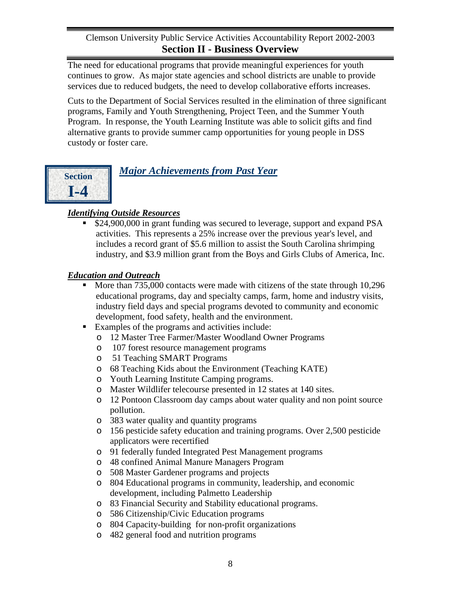The need for educational programs that provide meaningful experiences for youth continues to grow. As major state agencies and school districts are unable to provide services due to reduced budgets, the need to develop collaborative efforts increases.

Cuts to the Department of Social Services resulted in the elimination of three significant programs, Family and Youth Strengthening, Project Teen, and the Summer Youth Program. In response, the Youth Learning Institute was able to solicit gifts and find alternative grants to provide summer camp opportunities for young people in DSS custody or foster care.



*Major Achievements from Past Year*

## *Identifying Outside Resources*

 \$24,900,000 in grant funding was secured to leverage, support and expand PSA activities. This represents a 25% increase over the previous year's level, and includes a record grant of \$5.6 million to assist the South Carolina shrimping industry, and \$3.9 million grant from the Boys and Girls Clubs of America, Inc.

## *Education and Outreach*

- More than 735,000 contacts were made with citizens of the state through 10,296 educational programs, day and specialty camps, farm, home and industry visits, industry field days and special programs devoted to community and economic development, food safety, health and the environment.
- Examples of the programs and activities include:
	- o 12 Master Tree Farmer/Master Woodland Owner Programs
	- o 107 forest resource management programs
	- o 51 Teaching SMART Programs
	- o 68 Teaching Kids about the Environment (Teaching KATE)
	- o Youth Learning Institute Camping programs.
	- o Master Wildlifer telecourse presented in 12 states at 140 sites.
	- o 12 Pontoon Classroom day camps about water quality and non point source pollution.
	- o 383 water quality and quantity programs
	- o 156 pesticide safety education and training programs. Over 2,500 pesticide applicators were recertified
	- o 91 federally funded Integrated Pest Management programs
	- o 48 confined Animal Manure Managers Program
	- o 508 Master Gardener programs and projects
	- o 804 Educational programs in community, leadership, and economic development, including Palmetto Leadership
	- o 83 Financial Security and Stability educational programs.
	- o 586 Citizenship/Civic Education programs
	- o 804 Capacity-building for non-profit organizations
	- o 482 general food and nutrition programs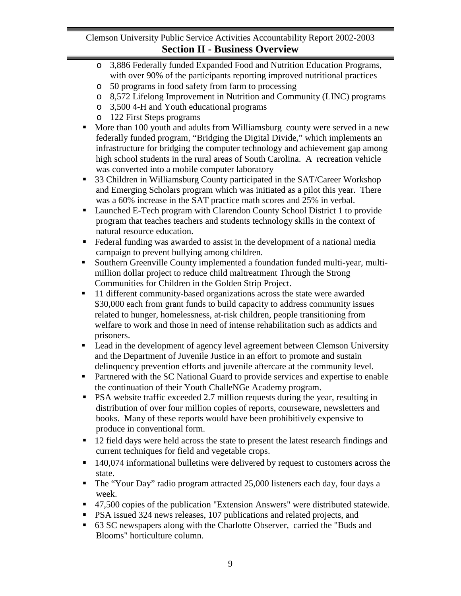- o 3,886 Federally funded Expanded Food and Nutrition Education Programs, with over 90% of the participants reporting improved nutritional practices
- o 50 programs in food safety from farm to processing
- o 8,572 Lifelong Improvement in Nutrition and Community (LINC) programs
- o 3,500 4-H and Youth educational programs
- o 122 First Steps programs
- More than 100 youth and adults from Williamsburg county were served in a new federally funded program, "Bridging the Digital Divide," which implements an infrastructure for bridging the computer technology and achievement gap among high school students in the rural areas of South Carolina. A recreation vehicle was converted into a mobile computer laboratory
- 33 Children in Williamsburg County participated in the SAT/Career Workshop and Emerging Scholars program which was initiated as a pilot this year. There was a 60% increase in the SAT practice math scores and 25% in verbal.
- Launched E-Tech program with Clarendon County School District 1 to provide program that teaches teachers and students technology skills in the context of natural resource education.
- Federal funding was awarded to assist in the development of a national media campaign to prevent bullying among children.
- Southern Greenville County implemented a foundation funded multi-year, multimillion dollar project to reduce child maltreatment Through the Strong Communities for Children in the Golden Strip Project.
- 11 different community-based organizations across the state were awarded \$30,000 each from grant funds to build capacity to address community issues related to hunger, homelessness, at-risk children, people transitioning from welfare to work and those in need of intense rehabilitation such as addicts and prisoners.
- **Example 1** Lead in the development of agency level agreement between Clemson University and the Department of Juvenile Justice in an effort to promote and sustain delinquency prevention efforts and juvenile aftercare at the community level.
- **Partnered with the SC National Guard to provide services and expertise to enable** the continuation of their Youth ChalleNGe Academy program.
- **•** PSA website traffic exceeded 2.7 million requests during the year, resulting in distribution of over four million copies of reports, courseware, newsletters and books. Many of these reports would have been prohibitively expensive to produce in conventional form.
- 12 field days were held across the state to present the latest research findings and current techniques for field and vegetable crops.
- 140,074 informational bulletins were delivered by request to customers across the state.
- The "Your Day" radio program attracted 25,000 listeners each day, four days a week.
- 47,500 copies of the publication "Extension Answers" were distributed statewide.
- **PSA** issued 324 news releases, 107 publications and related projects, and
- 63 SC newspapers along with the Charlotte Observer, carried the "Buds and Blooms" horticulture column.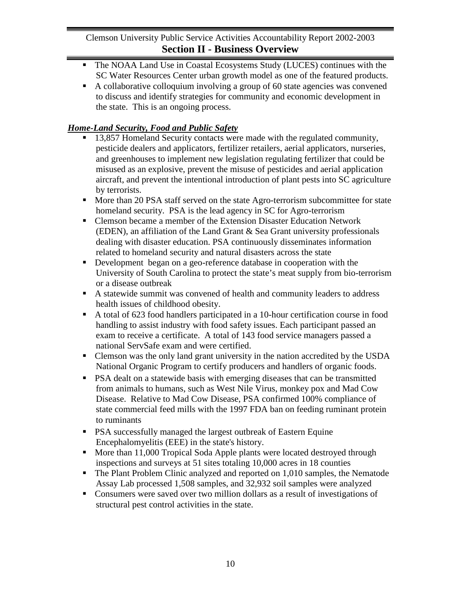- The NOAA Land Use in Coastal Ecosystems Study (LUCES) continues with the SC Water Resources Center urban growth model as one of the featured products.
- A collaborative colloquium involving a group of 60 state agencies was convened to discuss and identify strategies for community and economic development in the state. This is an ongoing process.

## *Home-Land Security, Food and Public Safety*

- 13,857 Homeland Security contacts were made with the regulated community, pesticide dealers and applicators, fertilizer retailers, aerial applicators, nurseries, and greenhouses to implement new legislation regulating fertilizer that could be misused as an explosive, prevent the misuse of pesticides and aerial application aircraft, and prevent the intentional introduction of plant pests into SC agriculture by terrorists.
- More than 20 PSA staff served on the state Agro-terrorism subcommittee for state homeland security. PSA is the lead agency in SC for Agro-terrorism
- Clemson became a member of the Extension Disaster Education Network (EDEN), an affiliation of the Land Grant & Sea Grant university professionals dealing with disaster education. PSA continuously disseminates information related to homeland security and natural disasters across the state
- Development began on a geo-reference database in cooperation with the University of South Carolina to protect the state's meat supply from bio-terrorism or a disease outbreak
- A statewide summit was convened of health and community leaders to address health issues of childhood obesity.
- A total of 623 food handlers participated in a 10-hour certification course in food handling to assist industry with food safety issues. Each participant passed an exam to receive a certificate. A total of 143 food service managers passed a national ServSafe exam and were certified.
- Clemson was the only land grant university in the nation accredited by the USDA National Organic Program to certify producers and handlers of organic foods.
- **PSA dealt on a statewide basis with emerging diseases that can be transmitted** from animals to humans, such as West Nile Virus, monkey pox and Mad Cow Disease. Relative to Mad Cow Disease, PSA confirmed 100% compliance of state commercial feed mills with the 1997 FDA ban on feeding ruminant protein to ruminants
- **PSA successfully managed the largest outbreak of Eastern Equine** Encephalomyelitis (EEE) in the state's history.
- More than 11,000 Tropical Soda Apple plants were located destroyed through inspections and surveys at 51 sites totaling 10,000 acres in 18 counties
- The Plant Problem Clinic analyzed and reported on 1,010 samples, the Nematode Assay Lab processed 1,508 samples, and 32,932 soil samples were analyzed
- Consumers were saved over two million dollars as a result of investigations of structural pest control activities in the state.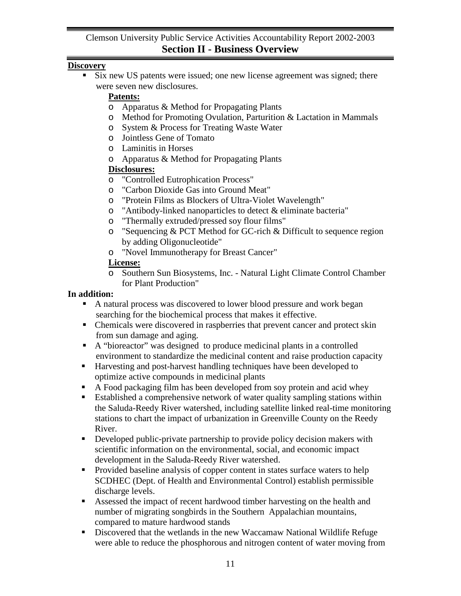## **Discovery**

 Six new US patents were issued; one new license agreement was signed; there were seven new disclosures.

## **Patents:**

- o Apparatus & Method for Propagating Plants
- o Method for Promoting Ovulation, Parturition & Lactation in Mammals
- o System & Process for Treating Waste Water
- o Jointless Gene of Tomato
- o Laminitis in Horses
- o Apparatus & Method for Propagating Plants

## **Disclosures:**

- o "Controlled Eutrophication Process"
- o "Carbon Dioxide Gas into Ground Meat"
- o "Protein Films as Blockers of Ultra-Violet Wavelength"
- o "Antibody-linked nanoparticles to detect & eliminate bacteria"
- o "Thermally extruded/pressed soy flour films"
- o "Sequencing & PCT Method for GC-rich & Difficult to sequence region by adding Oligonucleotide"
- o "Novel Immunotherapy for Breast Cancer"

## **License:**

o Southern Sun Biosystems, Inc. - Natural Light Climate Control Chamber for Plant Production"

## **In addition:**

- A natural process was discovered to lower blood pressure and work began searching for the biochemical process that makes it effective.
- Chemicals were discovered in raspberries that prevent cancer and protect skin from sun damage and aging.
- A "bioreactor" was designed to produce medicinal plants in a controlled environment to standardize the medicinal content and raise production capacity
- Harvesting and post-harvest handling techniques have been developed to optimize active compounds in medicinal plants
- A Food packaging film has been developed from soy protein and acid whey
- Established a comprehensive network of water quality sampling stations within the Saluda-Reedy River watershed, including satellite linked real-time monitoring stations to chart the impact of urbanization in Greenville County on the Reedy River.
- Developed public-private partnership to provide policy decision makers with scientific information on the environmental, social, and economic impact development in the Saluda-Reedy River watershed.
- Provided baseline analysis of copper content in states surface waters to help SCDHEC (Dept. of Health and Environmental Control) establish permissible discharge levels.
- Assessed the impact of recent hardwood timber harvesting on the health and number of migrating songbirds in the Southern Appalachian mountains, compared to mature hardwood stands
- Discovered that the wetlands in the new Waccamaw National Wildlife Refuge were able to reduce the phosphorous and nitrogen content of water moving from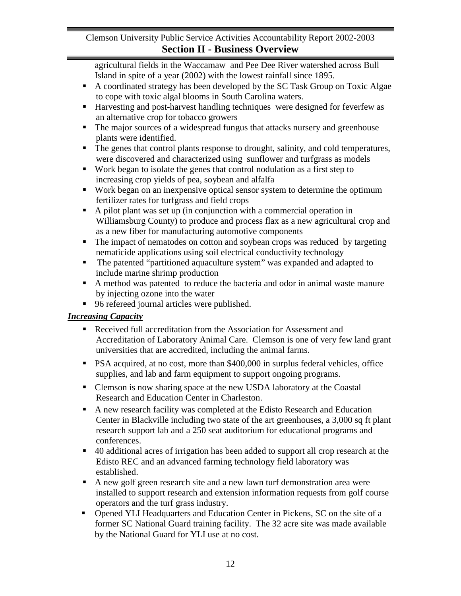agricultural fields in the Waccamaw and Pee Dee River watershed across Bull Island in spite of a year (2002) with the lowest rainfall since 1895.

- A coordinated strategy has been developed by the SC Task Group on Toxic Algae to cope with toxic algal blooms in South Carolina waters.
- Harvesting and post-harvest handling techniques were designed for feverfew as an alternative crop for tobacco growers
- The major sources of a widespread fungus that attacks nursery and greenhouse plants were identified.
- The genes that control plants response to drought, salinity, and cold temperatures, were discovered and characterized using sunflower and turfgrass as models
- Work began to isolate the genes that control nodulation as a first step to increasing crop yields of pea, soybean and alfalfa
- Work began on an inexpensive optical sensor system to determine the optimum fertilizer rates for turfgrass and field crops
- A pilot plant was set up (in conjunction with a commercial operation in Williamsburg County) to produce and process flax as a new agricultural crop and as a new fiber for manufacturing automotive components
- The impact of nematodes on cotton and soybean crops was reduced by targeting nematicide applications using soil electrical conductivity technology
- The patented "partitioned aquaculture system" was expanded and adapted to include marine shrimp production
- A method was patented to reduce the bacteria and odor in animal waste manure by injecting ozone into the water
- 96 refereed journal articles were published.

## *Increasing Capacity*

- Received full accreditation from the Association for Assessment and Accreditation of Laboratory Animal Care. Clemson is one of very few land grant universities that are accredited, including the animal farms.
- **PSA** acquired, at no cost, more than \$400,000 in surplus federal vehicles, office supplies, and lab and farm equipment to support ongoing programs.
- Clemson is now sharing space at the new USDA laboratory at the Coastal Research and Education Center in Charleston.
- A new research facility was completed at the Edisto Research and Education Center in Blackville including two state of the art greenhouses, a 3,000 sq ft plant research support lab and a 250 seat auditorium for educational programs and conferences.
- 40 additional acres of irrigation has been added to support all crop research at the Edisto REC and an advanced farming technology field laboratory was established.
- A new golf green research site and a new lawn turf demonstration area were installed to support research and extension information requests from golf course operators and the turf grass industry.
- Opened YLI Headquarters and Education Center in Pickens, SC on the site of a former SC National Guard training facility. The 32 acre site was made available by the National Guard for YLI use at no cost.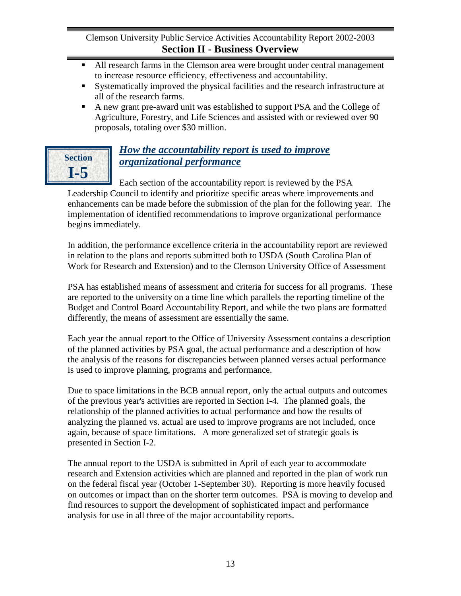- All research farms in the Clemson area were brought under central management to increase resource efficiency, effectiveness and accountability.
- Systematically improved the physical facilities and the research infrastructure at all of the research farms.
- A new grant pre-award unit was established to support PSA and the College of Agriculture, Forestry, and Life Sciences and assisted with or reviewed over 90 proposals, totaling over \$30 million.



# *How the accountability report is used to improve organizational performance*

Each section of the accountability report is reviewed by the PSA Leadership Council to identify and prioritize specific areas where improvements and enhancements can be made before the submission of the plan for the following year. The implementation of identified recommendations to improve organizational performance begins immediately.

In addition, the performance excellence criteria in the accountability report are reviewed in relation to the plans and reports submitted both to USDA (South Carolina Plan of Work for Research and Extension) and to the Clemson University Office of Assessment

PSA has established means of assessment and criteria for success for all programs. These are reported to the university on a time line which parallels the reporting timeline of the Budget and Control Board Accountability Report, and while the two plans are formatted differently, the means of assessment are essentially the same.

Each year the annual report to the Office of University Assessment contains a description of the planned activities by PSA goal, the actual performance and a description of how the analysis of the reasons for discrepancies between planned verses actual performance is used to improve planning, programs and performance.

Due to space limitations in the BCB annual report, only the actual outputs and outcomes of the previous year's activities are reported in Section I-4. The planned goals, the relationship of the planned activities to actual performance and how the results of analyzing the planned vs. actual are used to improve programs are not included, once again, because of space limitations. A more generalized set of strategic goals is presented in Section I-2.

The annual report to the USDA is submitted in April of each year to accommodate research and Extension activities which are planned and reported in the plan of work run on the federal fiscal year (October 1-September 30). Reporting is more heavily focused on outcomes or impact than on the shorter term outcomes. PSA is moving to develop and find resources to support the development of sophisticated impact and performance analysis for use in all three of the major accountability reports.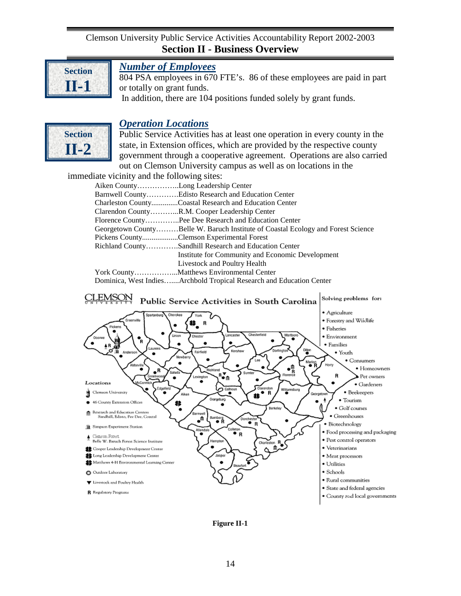<span id="page-17-2"></span>

<span id="page-17-1"></span>**Section II-2**

## <span id="page-17-0"></span>*Number of Employees*

804 PSA employees in 670 FTE's. 86 of these employees are paid in part or totally on grant funds. In addition, there are 104 positions funded solely by grant funds.

## *Operation Locations*



immediate vicinity and the following sites:

| Aiken CountyLong Leadership Center |                                                                                                                                                                                                                                                                                                                                           |
|------------------------------------|-------------------------------------------------------------------------------------------------------------------------------------------------------------------------------------------------------------------------------------------------------------------------------------------------------------------------------------------|
|                                    | Barnwell CountyEdisto Research and Education Center                                                                                                                                                                                                                                                                                       |
|                                    | Charleston CountyCoastal Research and Education Center                                                                                                                                                                                                                                                                                    |
|                                    | Clarendon CountyR.M. Cooper Leadership Center                                                                                                                                                                                                                                                                                             |
|                                    | Florence CountyPee Dee Research and Education Center                                                                                                                                                                                                                                                                                      |
|                                    | Georgetown CountyBelle W. Baruch Institute of Coastal Ecology and Forest Science                                                                                                                                                                                                                                                          |
|                                    | Pickens CountyClemson Experimental Forest                                                                                                                                                                                                                                                                                                 |
|                                    | Richland CountySandhill Research and Education Center                                                                                                                                                                                                                                                                                     |
|                                    | Institute for Community and Economic Development                                                                                                                                                                                                                                                                                          |
|                                    | Livestock and Poultry Health                                                                                                                                                                                                                                                                                                              |
|                                    |                                                                                                                                                                                                                                                                                                                                           |
|                                    | $D_{\text{c}}$ $M_{\text{c}}$ $M_{\text{c}}$ $M_{\text{c}}$ $M_{\text{c}}$ $M_{\text{c}}$ $M_{\text{c}}$ $M_{\text{c}}$ $M_{\text{c}}$ $M_{\text{c}}$ $M_{\text{c}}$ $M_{\text{c}}$ $M_{\text{c}}$ $M_{\text{c}}$ $M_{\text{c}}$ $M_{\text{c}}$ $M_{\text{c}}$ $M_{\text{c}}$ $M_{\text{c}}$ $M_{\text{c}}$ $M_{\text{c}}$ $M_{\text{c}}$ |

![](_page_17_Figure_8.jpeg)

<span id="page-17-3"></span>**Figure II-1**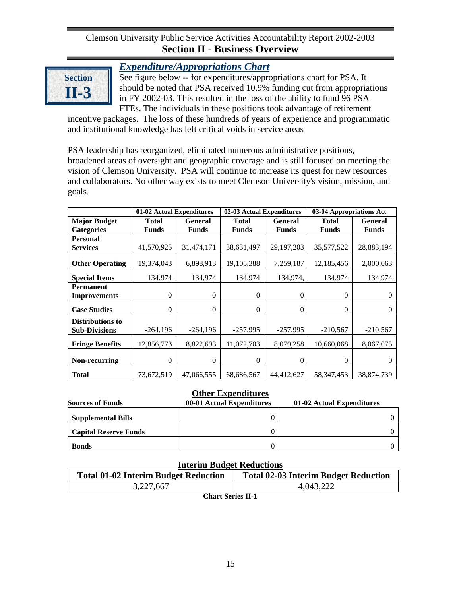![](_page_18_Picture_1.jpeg)

## *Expenditure/Appropriations Chart*

See figure below -- for expenditures/appropriations chart for PSA. It should be noted that PSA received 10.9% funding cut from appropriations in FY 2002-03. This resulted in the loss of the ability to fund 96 PSA FTEs. The individuals in these positions took advantage of retirement

incentive packages. The loss of these hundreds of years of experience and programmatic and institutional knowledge has left critical voids in service areas

PSA leadership has reorganized, eliminated numerous administrative positions, broadened areas of oversight and geographic coverage and is still focused on meeting the vision of Clemson University. PSA will continue to increase its quest for new resources and collaborators. No other way exists to meet Clemson University's vision, mission, and goals.

|                         | 01-02 Actual Expenditures |                | 02-03 Actual Expenditures      |                | 03-04 Appropriations Act |                |
|-------------------------|---------------------------|----------------|--------------------------------|----------------|--------------------------|----------------|
| <b>Major Budget</b>     | <b>Total</b>              | <b>General</b> | <b>Total</b>                   | <b>General</b> | <b>Total</b>             | <b>General</b> |
| <b>Categories</b>       | <b>Funds</b>              | <b>Funds</b>   | <b>Funds</b>                   | <b>Funds</b>   | <b>Funds</b>             | <b>Funds</b>   |
| <b>Personal</b>         |                           |                |                                |                |                          |                |
| <b>Services</b>         | 41,570,925                | 31,474,171     | 38,631,497                     | 29, 197, 203   | 35,577,522               | 28,883,194     |
| <b>Other Operating</b>  | 19,374,043                | 6,898,913      | 19,105,388                     | 7,259,187      | 12,185,456               | 2,000,063      |
| <b>Special Items</b>    | 134,974                   | 134,974        | 134,974<br>134,974,<br>134,974 |                | 134,974                  |                |
| <b>Permanent</b>        |                           |                |                                |                |                          |                |
| <b>Improvements</b>     | $\mathbf{0}$              | $\overline{0}$ | $\mathbf{0}$                   | $\overline{0}$ | $\theta$                 | $\Omega$       |
| <b>Case Studies</b>     | $\mathbf{0}$              | $\theta$       | $\Omega$                       | $\Omega$       | $\Omega$                 | $\Omega$       |
| <b>Distributions to</b> |                           |                |                                |                |                          |                |
| <b>Sub-Divisions</b>    | $-264,196$                | $-264,196$     | $-257,995$                     | $-257,995$     | $-210,567$               | $-210,567$     |
| <b>Fringe Benefits</b>  | 12,856,773                | 8,822,693      | 11,072,703                     | 8,079,258      | 10,660,068               | 8,067,075      |
| Non-recurring           | $\theta$                  | $\overline{0}$ | $\theta$                       | $\Omega$       | $\theta$                 | $\theta$       |
| <b>Total</b>            | 73,672,519                | 47,066,555     | 68,686,567                     | 44,412,627     | 58, 347, 453             | 38,874,739     |

### **Other Expenditures**

| <b>Sources of Funds</b>      | 00-01 Actual Expenditures | 01-02 Actual Expenditures |
|------------------------------|---------------------------|---------------------------|
| <b>Supplemental Bills</b>    |                           |                           |
| <b>Capital Reserve Funds</b> |                           |                           |
| <b>Bonds</b>                 |                           |                           |

# <span id="page-18-0"></span>**Interim Budget Reductions Total 01-02 Interim Budget Reduction Total 02-03 Interim Budget Reduction** 3,227,667 4,043,222

**Chart Series II-1**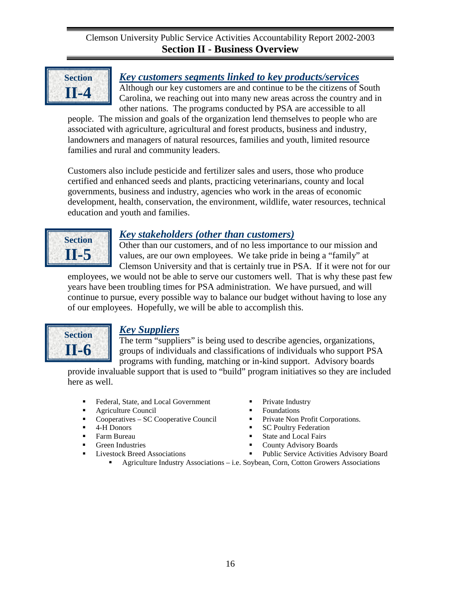<span id="page-19-1"></span>![](_page_19_Picture_1.jpeg)

## <span id="page-19-0"></span>*Key customers segments linked to key products/services*

Although our key customers are and continue to be the citizens of South Carolina, we reaching out into many new areas across the country and in other nations. The programs conducted by PSA are accessible to all

people. The mission and goals of the organization lend themselves to people who are associated with agriculture, agricultural and forest products, business and industry, landowners and managers of natural resources, families and youth, limited resource families and rural and community leaders.

Customers also include pesticide and fertilizer sales and users, those who produce certified and enhanced seeds and plants, practicing veterinarians, county and local governments, business and industry, agencies who work in the areas of economic development, health, conservation, the environment, wildlife, water resources, technical education and youth and families.

![](_page_19_Picture_6.jpeg)

## *Key stakeholders (other than customers)*

Other than our customers, and of no less importance to our mission and values, are our own employees. We take pride in being a "family" at Clemson University and that is certainly true in PSA. If it were not for our

employees, we would not be able to serve our customers well. That is why these past few years have been troubling times for PSA administration. We have pursued, and will continue to pursue, every possible way to balance our budget without having to lose any of our employees. Hopefully, we will be able to accomplish this.

![](_page_19_Picture_10.jpeg)

## *Key Suppliers*

The term "suppliers" is being used to describe agencies, organizations, groups of individuals and classifications of individuals who support PSA programs with funding, matching or in-kind support. Advisory boards

provide invaluable support that is used to "build" program initiatives so they are included here as well.

- Federal, State, and Local Government
- **Agriculture Council**
- Cooperatives SC Cooperative Council
- $-4$ -H Donors
- **Farm Bureau**
- **•** Green Industries
- <span id="page-19-2"></span>■ Livestock Breed Associations
- Private Industry
- Foundations
- Private Non Profit Corporations.
- SC Poultry Federation
- State and Local Fairs
- County Advisory Boards
- Public Service Activities Advisory Board
- Agriculture Industry Associations i.e. Soybean, Corn, Cotton Growers Associations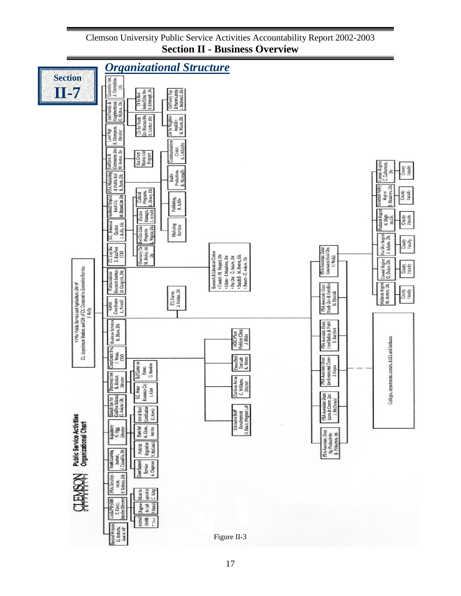<span id="page-20-0"></span>![](_page_20_Figure_1.jpeg)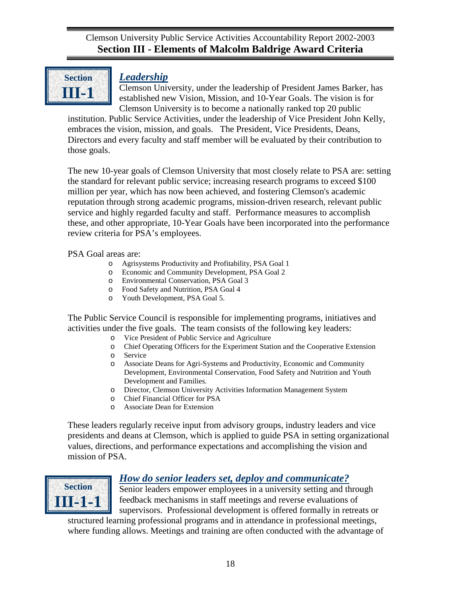<span id="page-21-1"></span>![](_page_21_Picture_1.jpeg)

## <span id="page-21-0"></span>*Leadership*

Clemson University, under the leadership of President James Barker, has established new Vision, Mission, and 10-Year Goals. The vision is for Clemson University is to become a nationally ranked top 20 public

institution. Public Service Activities, under the leadership of Vice President John Kelly, embraces the vision, mission, and goals. The President, Vice Presidents, Deans, Directors and every faculty and staff member will be evaluated by their contribution to those goals.

The new 10-year goals of Clemson University that most closely relate to PSA are: setting the standard for relevant public service; increasing research programs to exceed \$100 million per year, which has now been achieved, and fostering Clemson's academic reputation through strong academic programs, mission-driven research, relevant public service and highly regarded faculty and staff. Performance measures to accomplish these, and other appropriate, 10-Year Goals have been incorporated into the performance review criteria for PSA's employees.

PSA Goal areas are:

- o Agrisystems Productivity and Profitability, PSA Goal 1
- o Economic and Community Development, PSA Goal 2
- o Environmental Conservation, PSA Goal 3
- o Food Safety and Nutrition, PSA Goal 4
- Youth Development, PSA Goal 5.

The Public Service Council is responsible for implementing programs, initiatives and activities under the five goals. The team consists of the following key leaders:

- o Vice President of Public Service and Agriculture
- Chief Operating Officers for the Experiment Station and the Cooperative Extension
- o Service
- o Associate Deans for Agri-Systems and Productivity, Economic and Community Development, Environmental Conservation, Food Safety and Nutrition and Youth Development and Families.
- o Director, Clemson University Activities Information Management System
- o Chief Financial Officer for PSA
- o Associate Dean for Extension

These leaders regularly receive input from advisory groups, industry leaders and vice presidents and deans at Clemson, which is applied to guide PSA in setting organizational values, directions, and performance expectations and accomplishing the vision and mission of PSA.

![](_page_21_Picture_21.jpeg)

## *How do senior leaders set, deploy and communicate?*

Senior leaders empower employees in a university setting and through feedback mechanisms in staff meetings and reverse evaluations of supervisors. Professional development is offered formally in retreats or

structured learning professional programs and in attendance in professional meetings, where funding allows. Meetings and training are often conducted with the advantage of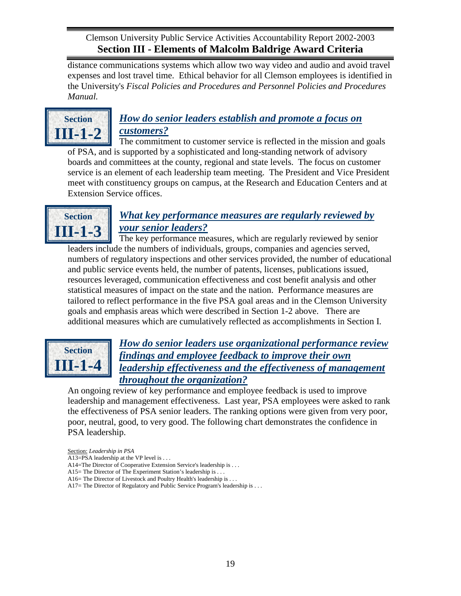<span id="page-22-0"></span>distance communications systems which allow two way video and audio and avoid travel expenses and lost travel time. Ethical behavior for all Clemson employees is identified in the University's *Fiscal Policies and Procedures and Personnel Policies and Procedures Manual.*

![](_page_22_Picture_2.jpeg)

# *How do senior leaders establish and promote a focus on customers?*

The commitment to customer service is reflected in the mission and goals of PSA, and is supported by a sophisticated and long-standing network of advisory boards and committees at the county, regional and state levels. The focus on customer service is an element of each leadership team meeting. The President and Vice President meet with constituency groups on campus, at the Research and Education Centers and at Extension Service offices.

![](_page_22_Picture_5.jpeg)

# <span id="page-22-1"></span>*What key performance measures are regularly reviewed by your senior leaders?*

The key performance measures, which are regularly reviewed by senior leaders include the numbers of individuals, groups, companies and agencies served, numbers of regulatory inspections and other services provided, the number of educational and public service events held, the number of patents, licenses, publications issued, resources leveraged, communication effectiveness and cost benefit analysis and other statistical measures of impact on the state and the nation. Performance measures are tailored to reflect performance in the five PSA goal areas and in the Clemson University goals and emphasis areas which were described in Section 1-2 above. There are additional measures which are cumulatively reflected as accomplishments in Section I.

![](_page_22_Picture_8.jpeg)

## *How do senior leaders use organizational performance review findings and employee feedback to improve their own leadership effectiveness and the effectiveness of management throughout the organization?*

An ongoing review of key performance and employee feedback is used to improve leadership and management effectiveness. Last year, PSA employees were asked to rank the effectiveness of PSA senior leaders. The ranking options were given from very poor, poor, neutral, good, to very good. The following chart demonstrates the confidence in PSA leadership.

- Section: *Leadership in PSA*
- A13=PSA leadership at the VP level is . . .
- A14=The Director of Cooperative Extension Service's leadership is . . .
- A15= The Director of The Experiment Station's leadership is . . .
- A16 = The Director of Livestock and Poultry Health's leadership is . . .
- A17 = The Director of Regulatory and Public Service Program's leadership is . . .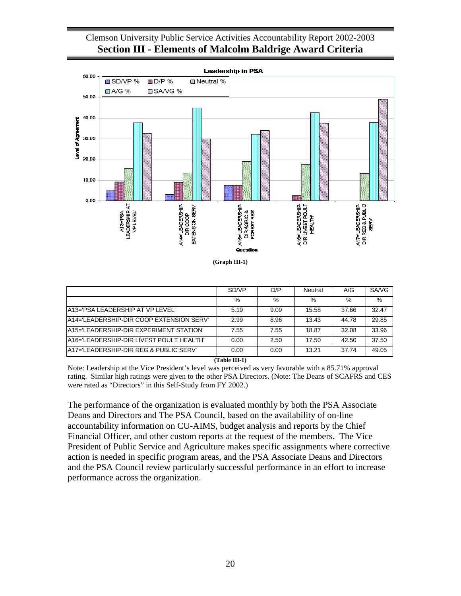![](_page_23_Figure_1.jpeg)

|                                          | SD/VP | D/P  | Neutral | A/G   | SA/VG |
|------------------------------------------|-------|------|---------|-------|-------|
|                                          | %     | %    | $\%$    | $\%$  | $\%$  |
| A13='PSA LEADERSHIP AT VP LEVEL'         | 5.19  | 9.09 | 15.58   | 37.66 | 32.47 |
| A14='LEADERSHIP-DIR COOP EXTENSION SERV' | 2.99  | 8.96 | 13.43   | 44.78 | 29.85 |
| A15='LEADERSHIP-DIR EXPERIMENT STATION'  | 7.55  | 7.55 | 18.87   | 32.08 | 33.96 |
| A16='LEADERSHIP-DIR LIVEST POULT HEALTH' | 0.00  | 2.50 | 17.50   | 42.50 | 37.50 |
| A17='LEADERSHIP-DIR REG & PUBLIC SERV'   | 0.00  | 0.00 | 13.21   | 37.74 | 49.05 |

**(Table III-1)**

<span id="page-23-0"></span>Note: Leadership at the Vice President's level was perceived as very favorable with a 85.71% approval rating. Similar high ratings were given to the other PSA Directors. (Note: The Deans of SCAFRS and CES were rated as "Directors" in this Self-Study from FY 2002.)

The performance of the organization is evaluated monthly by both the PSA Associate Deans and Directors and The PSA Council, based on the availability of on-line accountability information on CU-AIMS, budget analysis and reports by the Chief Financial Officer, and other custom reports at the request of the members. The Vice President of Public Service and Agriculture makes specific assignments where corrective action is needed in specific program areas, and the PSA Associate Deans and Directors and the PSA Council review particularly successful performance in an effort to increase performance across the organization.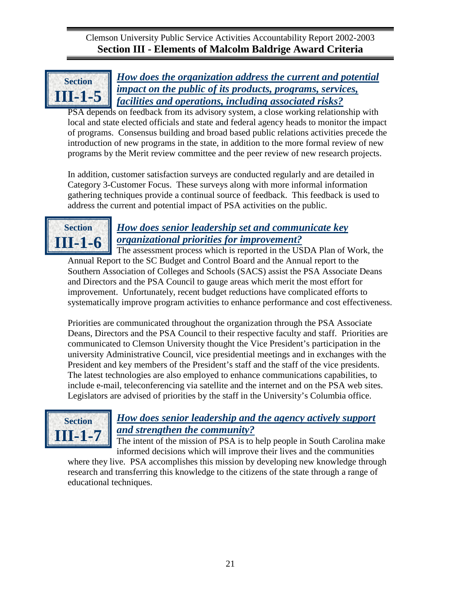<span id="page-24-2"></span><span id="page-24-0"></span>![](_page_24_Picture_1.jpeg)

*How does the organization address the current and potential impact on the public of its products, programs, services, facilities and operations, including associated risks?*

PSA depends on feedback from its advisory system, a close working relationship with local and state elected officials and state and federal agency heads to monitor the impact of programs. Consensus building and broad based public relations activities precede the introduction of new programs in the state, in addition to the more formal review of new programs by the Merit review committee and the peer review of new research projects.

In addition, customer satisfaction surveys are conducted regularly and are detailed in Category 3-Customer Focus. These surveys along with more informal information gathering techniques provide a continual source of feedback. This feedback is used to address the current and potential impact of PSA activities on the public.

![](_page_24_Picture_5.jpeg)

# <span id="page-24-1"></span>*How does senior leadership set and communicate key organizational priorities for improvement?*

The assessment process which is reported in the USDA Plan of Work, the Annual Report to the SC Budget and Control Board and the Annual report to the Southern Association of Colleges and Schools (SACS) assist the PSA Associate Deans and Directors and the PSA Council to gauge areas which merit the most effort for improvement. Unfortunately, recent budget reductions have complicated efforts to systematically improve program activities to enhance performance and cost effectiveness.

Priorities are communicated throughout the organization through the PSA Associate Deans, Directors and the PSA Council to their respective faculty and staff. Priorities are communicated to Clemson University thought the Vice President's participation in the university Administrative Council, vice presidential meetings and in exchanges with the President and key members of the President's staff and the staff of the vice presidents. The latest technologies are also employed to enhance communications capabilities, to include e-mail, teleconferencing via satellite and the internet and on the PSA web sites. Legislators are advised of priorities by the staff in the University's Columbia office.

![](_page_24_Picture_9.jpeg)

# *How does senior leadership and the agency actively support and strengthen the community?*

The intent of the mission of PSA is to help people in South Carolina make informed decisions which will improve their lives and the communities

where they live. PSA accomplishes this mission by developing new knowledge through research and transferring this knowledge to the citizens of the state through a range of educational techniques.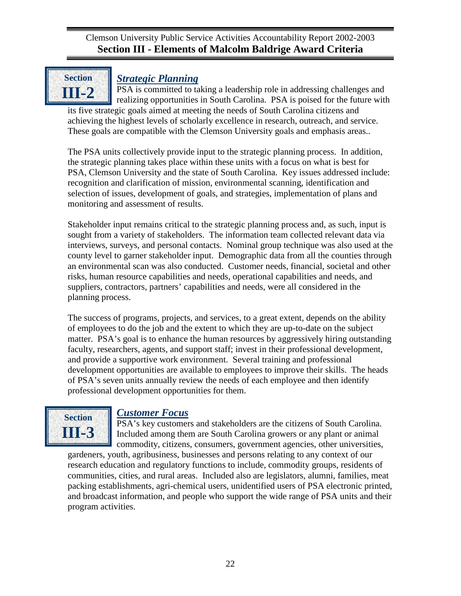<span id="page-25-1"></span>![](_page_25_Picture_1.jpeg)

## <span id="page-25-0"></span>*Strategic Planning*

PSA is committed to taking a leadership role in addressing challenges and realizing opportunities in South Carolina. PSA is poised for the future with its five strategic goals aimed at meeting the needs of South Carolina citizens and achieving the highest levels of scholarly excellence in research, outreach, and service. These goals are compatible with the Clemson University goals and emphasis areas..

The PSA units collectively provide input to the strategic planning process. In addition, the strategic planning takes place within these units with a focus on what is best for PSA, Clemson University and the state of South Carolina. Key issues addressed include: recognition and clarification of mission, environmental scanning, identification and selection of issues, development of goals, and strategies, implementation of plans and monitoring and assessment of results.

Stakeholder input remains critical to the strategic planning process and, as such, input is sought from a variety of stakeholders. The information team collected relevant data via interviews, surveys, and personal contacts. Nominal group technique was also used at the county level to garner stakeholder input. Demographic data from all the counties through an environmental scan was also conducted. Customer needs, financial, societal and other risks, human resource capabilities and needs, operational capabilities and needs, and suppliers, contractors, partners' capabilities and needs, were all considered in the planning process.

The success of programs, projects, and services, to a great extent, depends on the ability of employees to do the job and the extent to which they are up-to-date on the subject matter. PSA's goal is to enhance the human resources by aggressively hiring outstanding faculty, researchers, agents, and support staff; invest in their professional development, and provide a supportive work environment. Several training and professional development opportunities are available to employees to improve their skills. The heads of PSA's seven units annually review the needs of each employee and then identify professional development opportunities for them.

![](_page_25_Picture_7.jpeg)

## *Customer Focus*

PSA's key customers and stakeholders are the citizens of South Carolina. Included among them are South Carolina growers or any plant or animal commodity, citizens, consumers, government agencies, other universities,

<span id="page-25-2"></span>gardeners, youth, agribusiness, businesses and persons relating to any context of our research education and regulatory functions to include, commodity groups, residents of communities, cities, and rural areas. Included also are legislators, alumni, families, meat packing establishments, agri-chemical users, unidentified users of PSA electronic printed, and broadcast information, and people who support the wide range of PSA units and their program activities.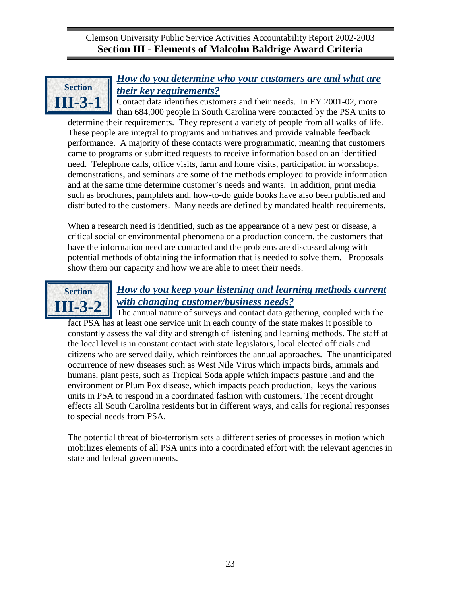![](_page_26_Picture_1.jpeg)

## *How do you determine who your customers are and what are their key requirements?*

Contact data identifies customers and their needs. In FY 2001-02, more than 684,000 people in South Carolina were contacted by the PSA units to

determine their requirements. They represent a variety of people from all walks of life. These people are integral to programs and initiatives and provide valuable feedback performance. A majority of these contacts were programmatic, meaning that customers came to programs or submitted requests to receive information based on an identified need. Telephone calls, office visits, farm and home visits, participation in workshops, demonstrations, and seminars are some of the methods employed to provide information and at the same time determine customer's needs and wants. In addition, print media such as brochures, pamphlets and, how-to-do guide books have also been published and distributed to the customers. Many needs are defined by mandated health requirements.

When a research need is identified, such as the appearance of a new pest or disease, a critical social or environmental phenomena or a production concern, the customers that have the information need are contacted and the problems are discussed along with potential methods of obtaining the information that is needed to solve them. Proposals show them our capacity and how we are able to meet their needs.

![](_page_26_Picture_6.jpeg)

## <span id="page-26-0"></span>*How do you keep your listening and learning methods current with changing customer/business needs?*

The annual nature of surveys and contact data gathering, coupled with the fact PSA has at least one service unit in each county of the state makes it possible to constantly assess the validity and strength of listening and learning methods. The staff at the local level is in constant contact with state legislators, local elected officials and citizens who are served daily, which reinforces the annual approaches. The unanticipated occurrence of new diseases such as West Nile Virus which impacts birds, animals and humans, plant pests, such as Tropical Soda apple which impacts pasture land and the environment or Plum Pox disease, which impacts peach production, keys the various units in PSA to respond in a coordinated fashion with customers. The recent drought effects all South Carolina residents but in different ways, and calls for regional responses to special needs from PSA.

<span id="page-26-1"></span>The potential threat of bio-terrorism sets a different series of processes in motion which mobilizes elements of all PSA units into a coordinated effort with the relevant agencies in state and federal governments.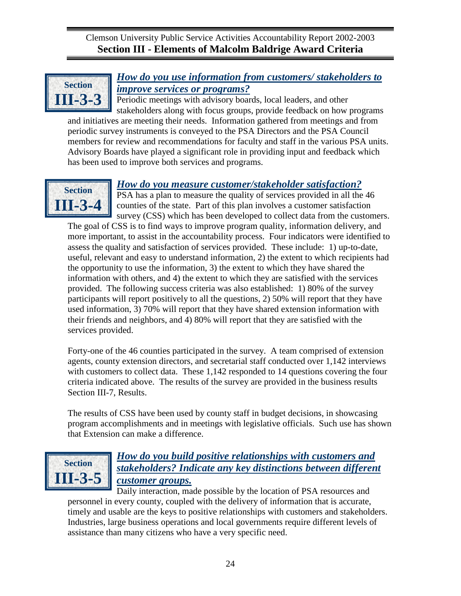<span id="page-27-0"></span>![](_page_27_Picture_1.jpeg)

# *How do you use information from customers/ stakeholders to improve services or programs?*

Periodic meetings with advisory boards, local leaders, and other stakeholders along with focus groups, provide feedback on how programs

and initiatives are meeting their needs. Information gathered from meetings and from periodic survey instruments is conveyed to the PSA Directors and the PSA Council members for review and recommendations for faculty and staff in the various PSA units. Advisory Boards have played a significant role in providing input and feedback which has been used to improve both services and programs.

![](_page_27_Picture_5.jpeg)

## *How do you measure customer/stakeholder satisfaction?*

PSA has a plan to measure the quality of services provided in all the 46 counties of the state. Part of this plan involves a customer satisfaction survey (CSS) which has been developed to collect data from the customers.

The goal of CSS is to find ways to improve program quality, information delivery, and more important, to assist in the accountability process. Four indicators were identified to assess the quality and satisfaction of services provided. These include: 1) up-to-date, useful, relevant and easy to understand information, 2) the extent to which recipients had the opportunity to use the information, 3) the extent to which they have shared the information with others, and 4) the extent to which they are satisfied with the services provided. The following success criteria was also established: 1) 80% of the survey participants will report positively to all the questions, 2) 50% will report that they have used information, 3) 70% will report that they have shared extension information with their friends and neighbors, and 4) 80% will report that they are satisfied with the services provided.

Forty-one of the 46 counties participated in the survey. A team comprised of extension agents, county extension directors, and secretarial staff conducted over 1,142 interviews with customers to collect data. These 1,142 responded to 14 questions covering the four criteria indicated above. The results of the survey are provided in the business results Section III-7, Results.

The results of CSS have been used by county staff in budget decisions, in showcasing program accomplishments and in meetings with legislative officials. Such use has shown that Extension can make a difference.

![](_page_27_Picture_11.jpeg)

## *How do you build positive relationships with customers and stakeholders? Indicate any key distinctions between different customer groups.*

Daily interaction, made possible by the location of PSA resources and personnel in every county, coupled with the delivery of information that is accurate, timely and usable are the keys to positive relationships with customers and stakeholders. Industries, large business operations and local governments require different levels of assistance than many citizens who have a very specific need.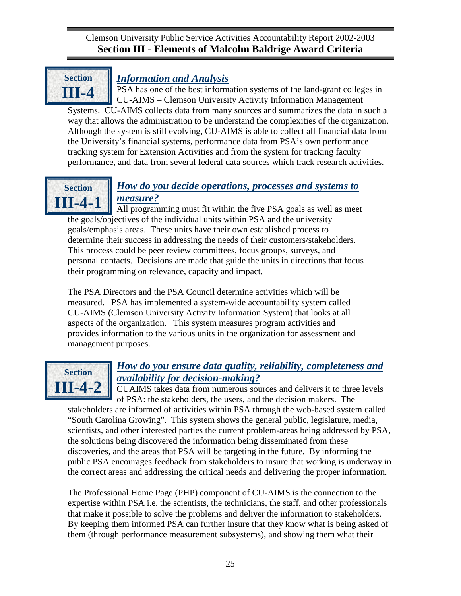<span id="page-28-0"></span>![](_page_28_Picture_1.jpeg)

## *Information and Analysis*

PSA has one of the best information systems of the land-grant colleges in CU-AIMS – Clemson University Activity Information Management Systems. CU-AIMS collects data from many sources and summarizes the data in such a way that allows the administration to be understand the complexities of the organization. Although the system is still evolving, CU-AIMS is able to collect all financial data from the University's financial systems, performance data from PSA's own performance tracking system for Extension Activities and from the system for tracking faculty

![](_page_28_Picture_4.jpeg)

## *How do you decide operations, processes and systems to measure?*

performance, and data from several federal data sources which track research activities.

All programming must fit within the five PSA goals as well as meet the goals/objectives of the individual units within PSA and the university goals/emphasis areas. These units have their own established process to determine their success in addressing the needs of their customers/stakeholders. This process could be peer review committees, focus groups, surveys, and personal contacts. Decisions are made that guide the units in directions that focus their programming on relevance, capacity and impact.

The PSA Directors and the PSA Council determine activities which will be measured. PSA has implemented a system-wide accountability system called CU-AIMS (Clemson University Activity Information System) that looks at all aspects of the organization. This system measures program activities and provides information to the various units in the organization for assessment and management purposes.

![](_page_28_Picture_8.jpeg)

# *How do you ensure data quality, reliability, completeness and availability for decision-making?*

CUAIMS takes data from numerous sources and delivers it to three levels of PSA: the stakeholders, the users, and the decision makers. The

stakeholders are informed of activities within PSA through the web-based system called "South Carolina Growing". This system shows the general public, legislature, media, scientists, and other interested parties the current problem-areas being addressed by PSA, the solutions being discovered the information being disseminated from these discoveries, and the areas that PSA will be targeting in the future. By informing the public PSA encourages feedback from stakeholders to insure that working is underway in the correct areas and addressing the critical needs and delivering the proper information.

The Professional Home Page (PHP) component of CU-AIMS is the connection to the expertise within PSA i.e. the scientists, the technicians, the staff, and other professionals that make it possible to solve the problems and deliver the information to stakeholders. By keeping them informed PSA can further insure that they know what is being asked of them (through performance measurement subsystems), and showing them what their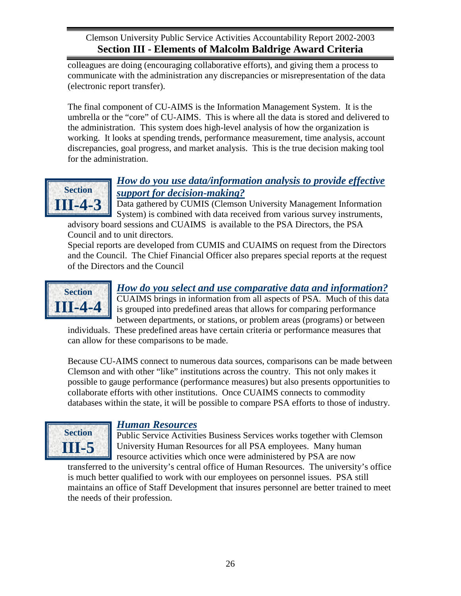<span id="page-29-0"></span>colleagues are doing (encouraging collaborative efforts), and giving them a process to communicate with the administration any discrepancies or misrepresentation of the data (electronic report transfer).

The final component of CU-AIMS is the Information Management System. It is the umbrella or the "core" of CU-AIMS. This is where all the data is stored and delivered to the administration. This system does high-level analysis of how the organization is working. It looks at spending trends, performance measurement, time analysis, account discrepancies, goal progress, and market analysis. This is the true decision making tool for the administration.

![](_page_29_Picture_3.jpeg)

## *How do you use data/information analysis to provide effective support for decision-making?*

Data gathered by CUMIS (Clemson University Management Information System) is combined with data received from various survey instruments,

advisory board sessions and CUAIMS is available to the PSA Directors, the PSA Council and to unit directors.

Special reports are developed from CUMIS and CUAIMS on request from the Directors and the Council. The Chief Financial Officer also prepares special reports at the request of the Directors and the Council

![](_page_29_Picture_8.jpeg)

# *How do you select and use comparative data and information?*

CUAIMS brings in information from all aspects of PSA. Much of this data is grouped into predefined areas that allows for comparing performance between departments, or stations, or problem areas (programs) or between

individuals. These predefined areas have certain criteria or performance measures that can allow for these comparisons to be made.

Because CU-AIMS connect to numerous data sources, comparisons can be made between Clemson and with other "like" institutions across the country. This not only makes it possible to gauge performance (performance measures) but also presents opportunities to collaborate efforts with other institutions. Once CUAIMS connects to commodity databases within the state, it will be possible to compare PSA efforts to those of industry.

![](_page_29_Picture_13.jpeg)

## *Human Resources*

Public Service Activities Business Services works together with Clemson University Human Resources for all PSA employees. Many human resource activities which once were administered by PSA are now

<span id="page-29-1"></span>transferred to the university's central office of Human Resources. The university's office is much better qualified to work with our employees on personnel issues. PSA still maintains an office of Staff Development that insures personnel are better trained to meet the needs of their profession.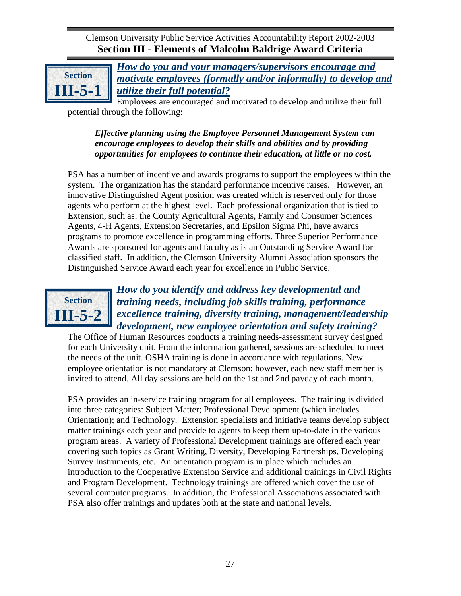![](_page_30_Picture_1.jpeg)

*How do you and your managers/supervisors encourage and motivate employees (formally and/or informally) to develop and utilize their full potential?*

Employees are encouraged and motivated to develop and utilize their full potential through the following:

## *Effective planning using the Employee Personnel Management System can encourage employees to develop their skills and abilities and by providing opportunities for employees to continue their education, at little or no cost.*

PSA has a number of incentive and awards programs to support the employees within the system. The organization has the standard performance incentive raises. However, an innovative Distinguished Agent position was created which is reserved only for those agents who perform at the highest level. Each professional organization that is tied to Extension, such as: the County Agricultural Agents, Family and Consumer Sciences Agents, 4-H Agents, Extension Secretaries, and Epsilon Sigma Phi, have awards programs to promote excellence in programming efforts. Three Superior Performance Awards are sponsored for agents and faculty as is an Outstanding Service Award for classified staff. In addition, the Clemson University Alumni Association sponsors the Distinguished Service Award each year for excellence in Public Service.

![](_page_30_Picture_6.jpeg)

## <span id="page-30-0"></span>*How do you identify and address key developmental and training needs, including job skills training, performance excellence training, diversity training, management/leadership development, new employee orientation and safety training?*

The Office of Human Resources conducts a training needs-assessment survey designed for each University unit. From the information gathered, sessions are scheduled to meet the needs of the unit. OSHA training is done in accordance with regulations. New employee orientation is not mandatory at Clemson; however, each new staff member is invited to attend. All day sessions are held on the 1st and 2nd payday of each month.

<span id="page-30-1"></span>PSA provides an in-service training program for all employees. The training is divided into three categories: Subject Matter; Professional Development (which includes Orientation); and Technology. Extension specialists and initiative teams develop subject matter trainings each year and provide to agents to keep them up-to-date in the various program areas. A variety of Professional Development trainings are offered each year covering such topics as Grant Writing, Diversity, Developing Partnerships, Developing Survey Instruments, etc. An orientation program is in place which includes an introduction to the Cooperative Extension Service and additional trainings in Civil Rights and Program Development. Technology trainings are offered which cover the use of several computer programs. In addition, the Professional Associations associated with PSA also offer trainings and updates both at the state and national levels.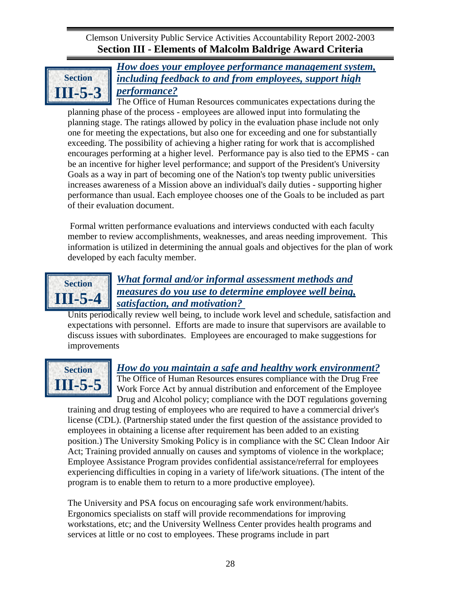<span id="page-31-0"></span>![](_page_31_Picture_1.jpeg)

*How does your employee performance management system, including feedback to and from employees, support high performance?*

The Office of Human Resources communicates expectations during the planning phase of the process - employees are allowed input into formulating the planning stage. The ratings allowed by policy in the evaluation phase include not only one for meeting the expectations, but also one for exceeding and one for substantially exceeding. The possibility of achieving a higher rating for work that is accomplished encourages performing at a higher level. Performance pay is also tied to the EPMS - can be an incentive for higher level performance; and support of the President's University Goals as a way in part of becoming one of the Nation's top twenty public universities increases awareness of a Mission above an individual's daily duties - supporting higher performance than usual. Each employee chooses one of the Goals to be included as part of their evaluation document.

Formal written performance evaluations and interviews conducted with each faculty member to review accomplishments, weaknesses, and areas needing improvement. This information is utilized in determining the annual goals and objectives for the plan of work developed by each faculty member.

![](_page_31_Picture_5.jpeg)

## *What formal and/or informal assessment methods and measures do you use to determine employee well being, satisfaction, and motivation?*

Units periodically review well being, to include work level and schedule, satisfaction and expectations with personnel. Efforts are made to insure that supervisors are available to discuss issues with subordinates. Employees are encouraged to make suggestions for improvements

![](_page_31_Picture_8.jpeg)

# <span id="page-31-1"></span>*How do you maintain a safe and healthy work environment?*

The Office of Human Resources ensures compliance with the Drug Free Work Force Act by annual distribution and enforcement of the Employee Drug and Alcohol policy; compliance with the DOT regulations governing

training and drug testing of employees who are required to have a commercial driver's license (CDL). (Partnership stated under the first question of the assistance provided to employees in obtaining a license after requirement has been added to an existing position.) The University Smoking Policy is in compliance with the SC Clean Indoor Air Act; Training provided annually on causes and symptoms of violence in the workplace; Employee Assistance Program provides confidential assistance/referral for employees experiencing difficulties in coping in a variety of life/work situations. (The intent of the program is to enable them to return to a more productive employee).

The University and PSA focus on encouraging safe work environment/habits. Ergonomics specialists on staff will provide recommendations for improving workstations, etc; and the University Wellness Center provides health programs and services at little or no cost to employees. These programs include in part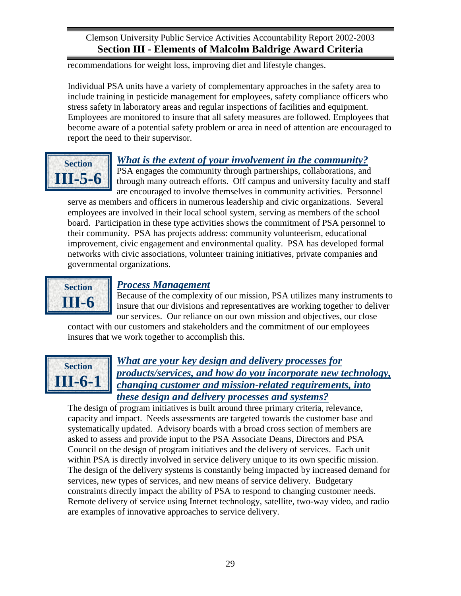<span id="page-32-0"></span>recommendations for weight loss, improving diet and lifestyle changes.

Individual PSA units have a variety of complementary approaches in the safety area to include training in pesticide management for employees, safety compliance officers who stress safety in laboratory areas and regular inspections of facilities and equipment. Employees are monitored to insure that all safety measures are followed. Employees that become aware of a potential safety problem or area in need of attention are encouraged to report the need to their supervisor.

![](_page_32_Picture_3.jpeg)

# *What is the extent of your involvement in the community?*

PSA engages the community through partnerships, collaborations, and through many outreach efforts. Off campus and university faculty and staff are encouraged to involve themselves in community activities. Personnel

serve as members and officers in numerous leadership and civic organizations. Several employees are involved in their local school system, serving as members of the school board. Participation in these type activities shows the commitment of PSA personnel to their community. PSA has projects address: community volunteerism, educational improvement, civic engagement and environmental quality. PSA has developed formal networks with civic associations, volunteer training initiatives, private companies and governmental organizations.

![](_page_32_Picture_7.jpeg)

## *Process Management*

Because of the complexity of our mission, PSA utilizes many instruments to insure that our divisions and representatives are working together to deliver our services. Our reliance on our own mission and objectives, our close

<span id="page-32-1"></span>contact with our customers and stakeholders and the commitment of our employees insures that we work together to accomplish this.

![](_page_32_Picture_11.jpeg)

## *What are your key design and delivery processes for products/services, and how do you incorporate new technology, changing customer and mission-related requirements, into these design and delivery processes and systems?*

The design of program initiatives is built around three primary criteria, relevance, capacity and impact. Needs assessments are targeted towards the customer base and systematically updated. Advisory boards with a broad cross section of members are asked to assess and provide input to the PSA Associate Deans, Directors and PSA Council on the design of program initiatives and the delivery of services. Each unit within PSA is directly involved in service delivery unique to its own specific mission. The design of the delivery systems is constantly being impacted by increased demand for services, new types of services, and new means of service delivery. Budgetary constraints directly impact the ability of PSA to respond to changing customer needs. Remote delivery of service using Internet technology, satellite, two-way video, and radio are examples of innovative approaches to service delivery.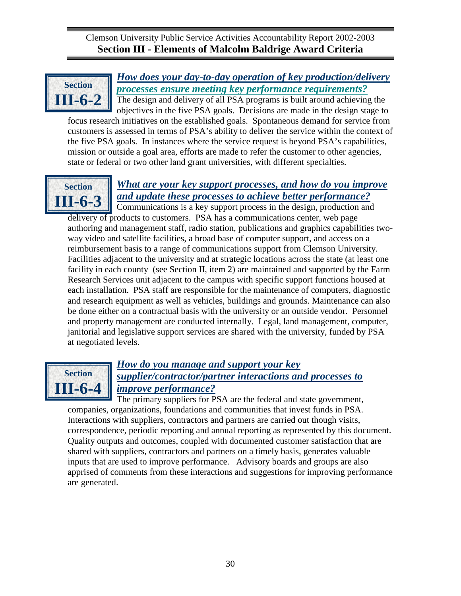<span id="page-33-0"></span>![](_page_33_Picture_1.jpeg)

*How does your day-to-day operation of key production/delivery processes ensure meeting key performance requirements?* The design and delivery of all PSA programs is built around achieving the

objectives in the five PSA goals. Decisions are made in the design stage to focus research initiatives on the established goals. Spontaneous demand for service from customers is assessed in terms of PSA's ability to deliver the service within the context of the five PSA goals. In instances where the service request is beyond PSA's capabilities, mission or outside a goal area, efforts are made to refer the customer to other agencies, state or federal or two other land grant universities, with different specialties.

![](_page_33_Picture_4.jpeg)

# <span id="page-33-1"></span>*What are your key support processes, and how do you improve and update these processes to achieve better performance?*

Communications is a key support process in the design, production and delivery of products to customers. PSA has a communications center, web page authoring and management staff, radio station, publications and graphics capabilities twoway video and satellite facilities, a broad base of computer support, and access on a reimbursement basis to a range of communications support from Clemson University. Facilities adjacent to the university and at strategic locations across the state (at least one facility in each county (see Section II, item 2) are maintained and supported by the Farm Research Services unit adjacent to the campus with specific support functions housed at each installation. PSA staff are responsible for the maintenance of computers, diagnostic and research equipment as well as vehicles, buildings and grounds. Maintenance can also be done either on a contractual basis with the university or an outside vendor. Personnel and property management are conducted internally. Legal, land management, computer, janitorial and legislative support services are shared with the university, funded by PSA at negotiated levels.

![](_page_33_Picture_7.jpeg)

# *How do you manage and support your key supplier/contractor/partner interactions and processes to improve performance?*

The primary suppliers for PSA are the federal and state government, companies, organizations, foundations and communities that invest funds in PSA. Interactions with suppliers, contractors and partners are carried out though visits, correspondence, periodic reporting and annual reporting as represented by this document. Quality outputs and outcomes, coupled with documented customer satisfaction that are shared with suppliers, contractors and partners on a timely basis, generates valuable inputs that are used to improve performance. Advisory boards and groups are also apprised of comments from these interactions and suggestions for improving performance are generated.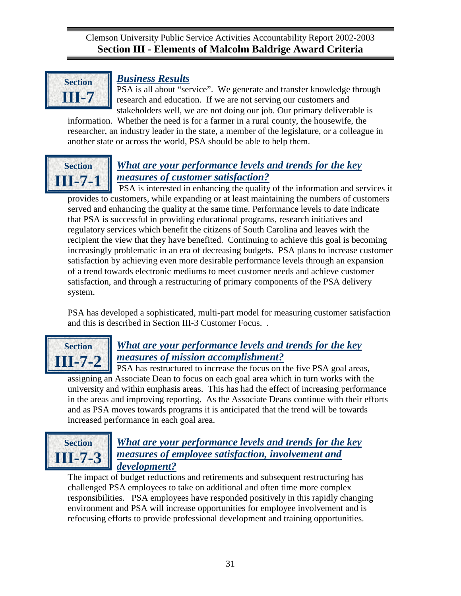<span id="page-34-0"></span>![](_page_34_Picture_1.jpeg)

## *Business Results*

PSA is all about "service". We generate and transfer knowledge through research and education. If we are not serving our customers and stakeholders well, we are not doing our job. Our primary deliverable is

information. Whether the need is for a farmer in a rural county, the housewife, the researcher, an industry leader in the state, a member of the legislature, or a colleague in another state or across the world, PSA should be able to help them.

![](_page_34_Picture_5.jpeg)

# *What are your performance levels and trends for the key measures of customer satisfaction?*

PSA is interested in enhancing the quality of the information and services it provides to customers, while expanding or at least maintaining the numbers of customers served and enhancing the quality at the same time. Performance levels to date indicate that PSA is successful in providing educational programs, research initiatives and regulatory services which benefit the citizens of South Carolina and leaves with the recipient the view that they have benefited. Continuing to achieve this goal is becoming increasingly problematic in an era of decreasing budgets. PSA plans to increase customer satisfaction by achieving even more desirable performance levels through an expansion of a trend towards electronic mediums to meet customer needs and achieve customer satisfaction, and through a restructuring of primary components of the PSA delivery system.

PSA has developed a sophisticated, multi-part model for measuring customer satisfaction and this is described in Section III-3 Customer Focus. .

![](_page_34_Picture_9.jpeg)

## <span id="page-34-1"></span>*What are your performance levels and trends for the key measures of mission accomplishment?*

PSA has restructured to increase the focus on the five PSA goal areas, assigning an Associate Dean to focus on each goal area which in turn works with the university and within emphasis areas. This has had the effect of increasing performance in the areas and improving reporting. As the Associate Deans continue with their efforts and as PSA moves towards programs it is anticipated that the trend will be towards increased performance in each goal area.

![](_page_34_Picture_12.jpeg)

# <span id="page-34-2"></span>*What are your performance levels and trends for the key measures of employee satisfaction, involvement and development?*

The impact of budget reductions and retirements and subsequent restructuring has challenged PSA employees to take on additional and often time more complex responsibilities. PSA employees have responded positively in this rapidly changing environment and PSA will increase opportunities for employee involvement and is refocusing efforts to provide professional development and training opportunities.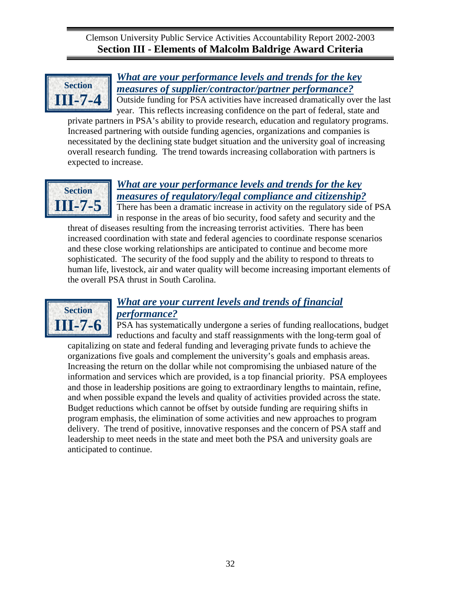<span id="page-35-0"></span>![](_page_35_Picture_1.jpeg)

# *What are your performance levels and trends for the key measures of supplier/contractor/partner performance?*

Outside funding for PSA activities have increased dramatically over the last year. This reflects increasing confidence on the part of federal, state and

private partners in PSA's ability to provide research, education and regulatory programs. Increased partnering with outside funding agencies, organizations and companies is necessitated by the declining state budget situation and the university goal of increasing overall research funding. The trend towards increasing collaboration with partners is expected to increase.

![](_page_35_Picture_5.jpeg)

## *What are your performance levels and trends for the key measures of regulatory/legal compliance and citizenship?*

There has been a dramatic increase in activity on the regulatory side of PSA in response in the areas of bio security, food safety and security and the

threat of diseases resulting from the increasing terrorist activities. There has been increased coordination with state and federal agencies to coordinate response scenarios and these close working relationships are anticipated to continue and become more sophisticated. The security of the food supply and the ability to respond to threats to human life, livestock, air and water quality will become increasing important elements of the overall PSA thrust in South Carolina.

![](_page_35_Picture_9.jpeg)

# *What are your current levels and trends of financial performance?*

PSA has systematically undergone a series of funding reallocations, budget reductions and faculty and staff reassignments with the long-term goal of capitalizing on state and federal funding and leveraging private funds to achieve the organizations five goals and complement the university's goals and emphasis areas. Increasing the return on the dollar while not compromising the unbiased nature of the information and services which are provided, is a top financial priority. PSA employees and those in leadership positions are going to extraordinary lengths to maintain, refine, and when possible expand the levels and quality of activities provided across the state. Budget reductions which cannot be offset by outside funding are requiring shifts in program emphasis, the elimination of some activities and new approaches to program delivery. The trend of positive, innovative responses and the concern of PSA staff and leadership to meet needs in the state and meet both the PSA and university goals are anticipated to continue.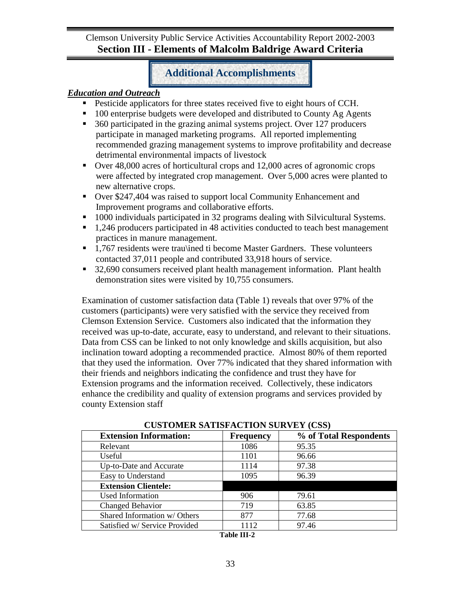## **Additional Accomplishments**

## *Education and Outreach*

- Pesticide applicators for three states received five to eight hours of CCH.
- 100 enterprise budgets were developed and distributed to County Ag Agents
- 360 participated in the grazing animal systems project. Over 127 producers participate in managed marketing programs. All reported implementing recommended grazing management systems to improve profitability and decrease detrimental environmental impacts of livestock
- Over 48,000 acres of horticultural crops and 12,000 acres of agronomic crops were affected by integrated crop management. Over 5,000 acres were planted to new alternative crops.
- Over \$247,404 was raised to support local Community Enhancement and Improvement programs and collaborative efforts.
- 1000 individuals participated in 32 programs dealing with Silvicultural Systems.
- <sup>1</sup>.246 producers participated in 48 activities conducted to teach best management practices in manure management.
- <sup>1</sup>.767 residents were trau\ined ti become Master Gardners. These volunteers contacted 37,011 people and contributed 33,918 hours of service.
- <sup>32</sup>,690 consumers received plant health management information. Plant health demonstration sites were visited by 10,755 consumers.

Examination of customer satisfaction data (Table 1) reveals that over 97% of the customers (participants) were very satisfied with the service they received from Clemson Extension Service. Customers also indicated that the information they received was up-to-date, accurate, easy to understand, and relevant to their situations. Data from CSS can be linked to not only knowledge and skills acquisition, but also inclination toward adopting a recommended practice. Almost 80% of them reported that they used the information. Over 77% indicated that they shared information with their friends and neighbors indicating the confidence and trust they have for Extension programs and the information received. Collectively, these indicators enhance the credibility and quality of extension programs and services provided by county Extension staff

| COSTOMER SATISFACTION SURVET (CSS) |                  |                        |  |  |  |
|------------------------------------|------------------|------------------------|--|--|--|
| <b>Extension Information:</b>      | <b>Frequency</b> | % of Total Respondents |  |  |  |
| Relevant                           | 1086             | 95.35                  |  |  |  |
| Useful                             | 1101             | 96.66                  |  |  |  |
| Up-to-Date and Accurate            | 1114             | 97.38                  |  |  |  |
| Easy to Understand                 | 1095             | 96.39                  |  |  |  |
| <b>Extension Clientele:</b>        |                  |                        |  |  |  |
| Used Information                   | 906              | 79.61                  |  |  |  |
| Changed Behavior                   | 719              | 63.85                  |  |  |  |
| Shared Information w/ Others       | 877              | 77.68                  |  |  |  |
| Satisfied w/ Service Provided      | 1112             | 97.46                  |  |  |  |

**CUSTOMER SATISFACTION SURVEY (CSS)**

**Table III-2**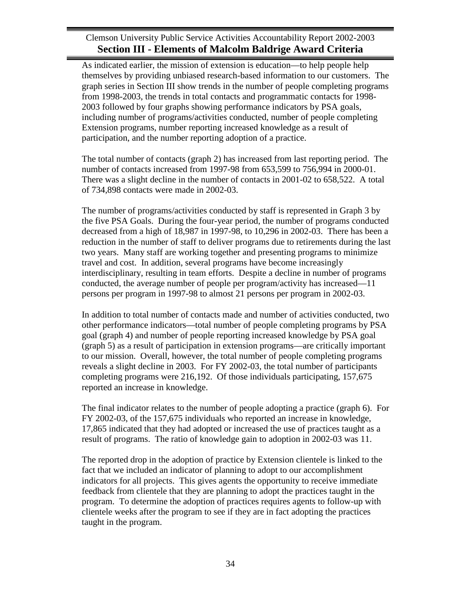As indicated earlier, the mission of extension is education—to help people help themselves by providing unbiased research-based information to our customers. The graph series in Section III show trends in the number of people completing programs from 1998-2003, the trends in total contacts and programmatic contacts for 1998- 2003 followed by four graphs showing performance indicators by PSA goals, including number of programs/activities conducted, number of people completing Extension programs, number reporting increased knowledge as a result of participation, and the number reporting adoption of a practice.

The total number of contacts (graph 2) has increased from last reporting period. The number of contacts increased from 1997-98 from 653,599 to 756,994 in 2000-01. There was a slight decline in the number of contacts in 2001-02 to 658,522. A total of 734,898 contacts were made in 2002-03.

The number of programs/activities conducted by staff is represented in Graph 3 by the five PSA Goals. During the four-year period, the number of programs conducted decreased from a high of 18,987 in 1997-98, to 10,296 in 2002-03. There has been a reduction in the number of staff to deliver programs due to retirements during the last two years. Many staff are working together and presenting programs to minimize travel and cost. In addition, several programs have become increasingly interdisciplinary, resulting in team efforts. Despite a decline in number of programs conducted, the average number of people per program/activity has increased—11 persons per program in 1997-98 to almost 21 persons per program in 2002-03.

In addition to total number of contacts made and number of activities conducted, two other performance indicators—total number of people completing programs by PSA goal (graph 4) and number of people reporting increased knowledge by PSA goal (graph 5) as a result of participation in extension programs—are critically important to our mission. Overall, however, the total number of people completing programs reveals a slight decline in 2003. For FY 2002-03, the total number of participants completing programs were 216,192. Of those individuals participating, 157,675 reported an increase in knowledge.

The final indicator relates to the number of people adopting a practice (graph 6). For FY 2002-03, of the 157,675 individuals who reported an increase in knowledge, 17,865 indicated that they had adopted or increased the use of practices taught as a result of programs. The ratio of knowledge gain to adoption in 2002-03 was 11.

The reported drop in the adoption of practice by Extension clientele is linked to the fact that we included an indicator of planning to adopt to our accomplishment indicators for all projects. This gives agents the opportunity to receive immediate feedback from clientele that they are planning to adopt the practices taught in the program. To determine the adoption of practices requires agents to follow-up with clientele weeks after the program to see if they are in fact adopting the practices taught in the program.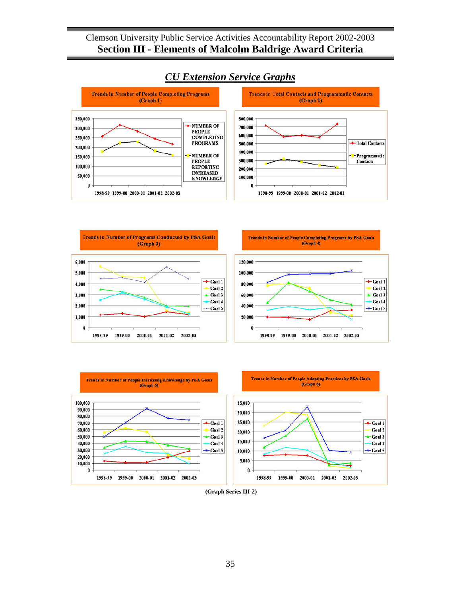![](_page_38_Figure_1.jpeg)

# *CU Extension Service Graphs*

![](_page_38_Figure_3.jpeg)

 $\leftarrow$  Goal 1

 $-Goal<sub>3</sub>$ 

Goal 2

Goal 4

 $-Goal<sub>5</sub>$ 

![](_page_38_Figure_4.jpeg)

**<sup>(</sup>Graph Series III-2)**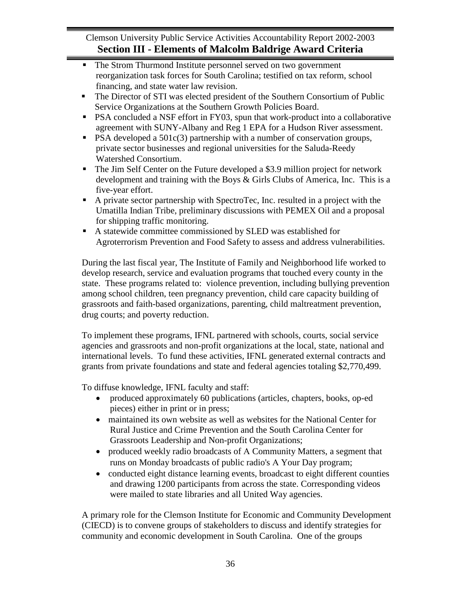- The Strom Thurmond Institute personnel served on two government reorganization task forces for South Carolina; testified on tax reform, school financing, and state water law revision.
- The Director of STI was elected president of the Southern Consortium of Public Service Organizations at the Southern Growth Policies Board.
- PSA concluded a NSF effort in FY03, spun that work-product into a collaborative agreement with SUNY-Albany and Reg 1 EPA for a Hudson River assessment.
- **PSA** developed a  $501c(3)$  partnership with a number of conservation groups, private sector businesses and regional universities for the Saluda-Reedy Watershed Consortium.
- The Jim Self Center on the Future developed a \$3.9 million project for network development and training with the Boys & Girls Clubs of America, Inc. This is a five-year effort.
- A private sector partnership with SpectroTec, Inc. resulted in a project with the Umatilla Indian Tribe, preliminary discussions with PEMEX Oil and a proposal for shipping traffic monitoring.
- A statewide committee commissioned by SLED was established for Agroterrorism Prevention and Food Safety to assess and address vulnerabilities.

During the last fiscal year, The Institute of Family and Neighborhood life worked to develop research, service and evaluation programs that touched every county in the state. These programs related to: violence prevention, including bullying prevention among school children, teen pregnancy prevention, child care capacity building of grassroots and faith-based organizations, parenting, child maltreatment prevention, drug courts; and poverty reduction.

To implement these programs, IFNL partnered with schools, courts, social service agencies and grassroots and non-profit organizations at the local, state, national and international levels. To fund these activities, IFNL generated external contracts and grants from private foundations and state and federal agencies totaling \$2,770,499.

To diffuse knowledge, IFNL faculty and staff:

- produced approximately 60 publications (articles, chapters, books, op-ed pieces) either in print or in press;
- maintained its own website as well as websites for the National Center for Rural Justice and Crime Prevention and the South Carolina Center for Grassroots Leadership and Non-profit Organizations;
- produced weekly radio broadcasts of A Community Matters, a segment that runs on Monday broadcasts of public radio's Α Your Day program;
- conducted eight distance learning events, broadcast to eight different counties and drawing 1200 participants from across the state. Corresponding videos were mailed to state libraries and all United Way agencies.

A primary role for the Clemson Institute for Economic and Community Development (CIECD) is to convene groups of stakeholders to discuss and identify strategies for community and economic development in South Carolina. One of the groups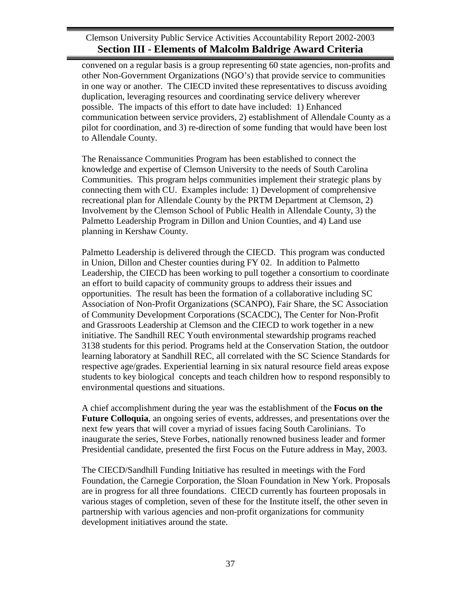convened on a regular basis is a group representing 60 state agencies, non-profits and other Non-Government Organizations (NGO's) that provide service to communities in one way or another. The CIECD invited these representatives to discuss avoiding duplication, leveraging resources and coordinating service delivery wherever possible. The impacts of this effort to date have included: 1) Enhanced communication between service providers, 2) establishment of Allendale County as a pilot for coordination, and 3) re-direction of some funding that would have been lost to Allendale County.

The Renaissance Communities Program has been established to connect the knowledge and expertise of Clemson University to the needs of South Carolina Communities. This program helps communities implement their strategic plans by connecting them with CU. Examples include: 1) Development of comprehensive recreational plan for Allendale County by the PRTM Department at Clemson, 2) Involvement by the Clemson School of Public Health in Allendale County, 3) the Palmetto Leadership Program in Dillon and Union Counties, and 4) Land use planning in Kershaw County.

Palmetto Leadership is delivered through the CIECD. This program was conducted in Union, Dillon and Chester counties during FY 02. In addition to Palmetto Leadership, the CIECD has been working to pull together a consortium to coordinate an effort to build capacity of community groups to address their issues and opportunities. The result has been the formation of a collaborative including SC Association of Non-Profit Organizations (SCANPO), Fair Share, the SC Association of Community Development Corporations (SCACDC), The Center for Non-Profit and Grassroots Leadership at Clemson and the CIECD to work together in a new initiative. The Sandhill REC Youth environmental stewardship programs reached 3138 students for this period. Programs held at the Conservation Station, the outdoor learning laboratory at Sandhill REC, all correlated with the SC Science Standards for respective age/grades. Experiential learning in six natural resource field areas expose students to key biological concepts and teach children how to respond responsibly to environmental questions and situations.

A chief accomplishment during the year was the establishment of the **Focus on the Future Colloquia**, an ongoing series of events, addresses, and presentations over the next few years that will cover a myriad of issues facing South Carolinians. To inaugurate the series, Steve Forbes, nationally renowned business leader and former Presidential candidate, presented the first Focus on the Future address in May, 2003.

The CIECD/Sandhill Funding Initiative has resulted in meetings with the Ford Foundation, the Carnegie Corporation, the Sloan Foundation in New York. Proposals are in progress for all three foundations. CIECD currently has fourteen proposals in various stages of completion, seven of these for the Institute itself, the other seven in partnership with various agencies and non-profit organizations for community development initiatives around the state.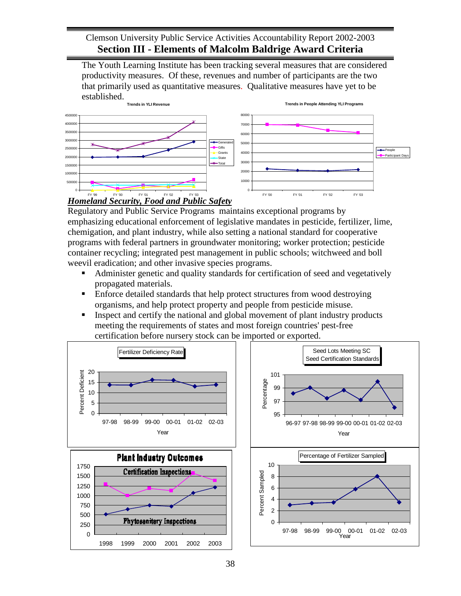The Youth Learning Institute has been tracking several measures that are considered productivity measures. Of these, revenues and number of participants are the two that primarily used as quantitative measures. Qualitative measures have yet to be established.

![](_page_41_Figure_2.jpeg)

## *Homeland Security, Food and Public Safety*

Regulatory and Public Service Programs maintains exceptional programs by emphasizing educational enforcement of legislative mandates in pesticide, fertilizer, lime, chemigation, and plant industry, while also setting a national standard for cooperative programs with federal partners in groundwater monitoring; worker protection; pesticide container recycling; integrated pest management in public schools; witchweed and boll weevil eradication; and other invasive species programs.

- Administer genetic and quality standards for certification of seed and vegetatively propagated materials.
- **Enforce detailed standards that help protect structures from wood destroying** organisms, and help protect property and people from pesticide misuse.
- Inspect and certify the national and global movement of plant industry products meeting the requirements of states and most foreign countries' pest-free certification before nursery stock can be imported or exported.

![](_page_41_Figure_8.jpeg)

![](_page_41_Figure_9.jpeg)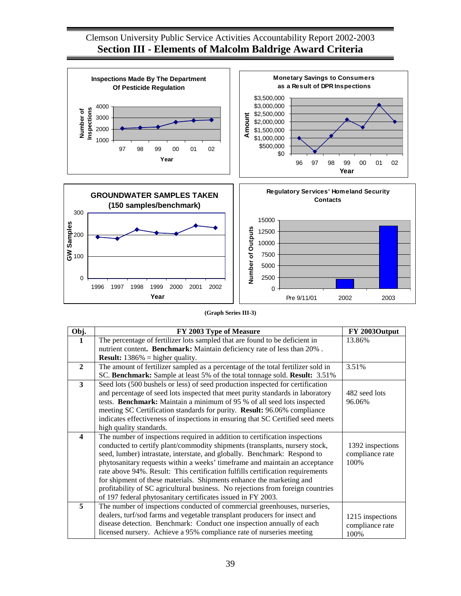![](_page_42_Figure_1.jpeg)

#### **(Graph Series III-3)**

| Obj.                    | FY 2003 Type of Measure                                                          | FY 2003Output    |
|-------------------------|----------------------------------------------------------------------------------|------------------|
|                         | The percentage of fertilizer lots sampled that are found to be deficient in      | 13.86%           |
|                         | nutrient content. Benchmark: Maintain deficiency rate of less than 20%.          |                  |
|                         | <b>Result:</b> $1386\%$ = higher quality.                                        |                  |
| $\mathbf{2}$            | The amount of fertilizer sampled as a percentage of the total fertilizer sold in | 3.51%            |
|                         | SC. Benchmark: Sample at least 5% of the total tonnage sold. Result: 3.51%       |                  |
| $\overline{\mathbf{3}}$ | Seed lots (500 bushels or less) of seed production inspected for certification   |                  |
|                         | and percentage of seed lots inspected that meet purity standards in laboratory   | 482 seed lots    |
|                         | tests. Benchmark: Maintain a minimum of 95 % of all seed lots inspected          | 96.06%           |
|                         | meeting SC Certification standards for purity. Result: 96.06% compliance         |                  |
|                         | indicates effectiveness of inspections in ensuring that SC Certified seed meets  |                  |
|                         | high quality standards.                                                          |                  |
| $\overline{\mathbf{4}}$ | The number of inspections required in addition to certification inspections      |                  |
|                         | conducted to certify plant/commodity shipments (transplants, nursery stock,      | 1392 inspections |
|                         | seed, lumber) intrastate, interstate, and globally. Benchmark: Respond to        | compliance rate  |
|                         | phytosanitary requests within a weeks' timeframe and maintain an acceptance      | 100%             |
|                         | rate above 94%. Result: This certification fulfills certification requirements   |                  |
|                         | for shipment of these materials. Shipments enhance the marketing and             |                  |
|                         | profitability of SC agricultural business. No rejections from foreign countries  |                  |
|                         | of 197 federal phytosanitary certificates issued in FY 2003.                     |                  |
| 5                       | The number of inspections conducted of commercial greenhouses, nurseries,        |                  |
|                         | dealers, turf/sod farms and vegetable transplant producers for insect and        | 1215 inspections |
|                         | disease detection. Benchmark: Conduct one inspection annually of each            | compliance rate  |
|                         | licensed nursery. Achieve a 95% compliance rate of nurseries meeting             | 100%             |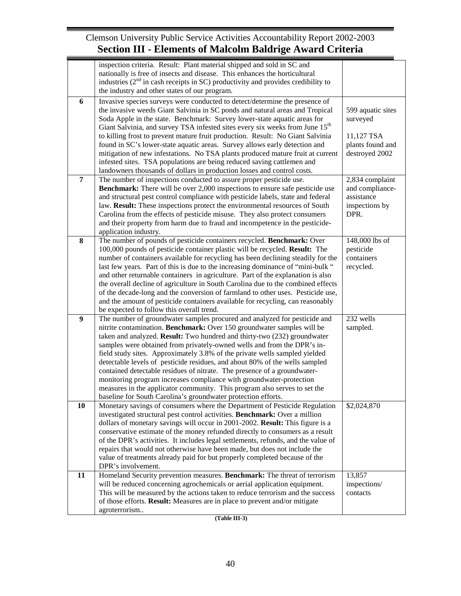|                | inspection criteria. Result: Plant material shipped and sold in SC and                   |                   |
|----------------|------------------------------------------------------------------------------------------|-------------------|
|                | nationally is free of insects and disease. This enhances the horticultural               |                   |
|                | industries $(2nd$ in cash receipts in SC) productivity and provides credibility to       |                   |
|                | the industry and other states of our program.                                            |                   |
|                |                                                                                          |                   |
| 6              | Invasive species surveys were conducted to detect/determine the presence of              |                   |
|                | the invasive weeds Giant Salvinia in SC ponds and natural areas and Tropical             | 599 aquatic sites |
|                | Soda Apple in the state. Benchmark: Survey lower-state aquatic areas for                 | surveyed          |
|                | Giant Salvinia, and survey TSA infested sites every six weeks from June 15 <sup>th</sup> |                   |
|                | to killing frost to prevent mature fruit production. Result: No Giant Salvinia           | 11,127 TSA        |
|                | found in SC's lower-state aquatic areas. Survey allows early detection and               | plants found and  |
|                | mitigation of new infestations. No TSA plants produced mature fruit at current           | destroyed 2002    |
|                | infested sites. TSA populations are being reduced saving cattlemen and                   |                   |
|                | landowners thousands of dollars in production losses and control costs.                  |                   |
| $\overline{7}$ | The number of inspections conducted to assure proper pesticide use.                      | 2,834 complaint   |
|                | <b>Benchmark:</b> There will be over 2,000 inspections to ensure safe pesticide use      | and compliance-   |
|                | and structural pest control compliance with pesticide labels, state and federal          | assistance        |
|                | law. Result: These inspections protect the environmental resources of South              | inspections by    |
|                | Carolina from the effects of pesticide misuse. They also protect consumers               | DPR.              |
|                | and their property from harm due to fraud and incompetence in the pesticide-             |                   |
|                | application industry.                                                                    |                   |
| 8              | The number of pounds of pesticide containers recycled. Benchmark: Over                   | 148,000 lbs of    |
|                | 100,000 pounds of pesticide container plastic will be recycled. Result: The              | pesticide         |
|                | number of containers available for recycling has been declining steadily for the         | containers        |
|                |                                                                                          |                   |
|                | last few years. Part of this is due to the increasing dominance of "mini-bulk "          | recycled.         |
|                | and other returnable containers in agriculture. Part of the explanation is also          |                   |
|                | the overall decline of agriculture in South Carolina due to the combined effects         |                   |
|                | of the decade-long and the conversion of farmland to other uses. Pesticide use,          |                   |
|                | and the amount of pesticide containers available for recycling, can reasonably           |                   |
|                | be expected to follow this overall trend.                                                |                   |
| 9              | The number of groundwater samples procured and analyzed for pesticide and                | 232 wells         |
|                | nitrite contamination. Benchmark: Over 150 groundwater samples will be                   | sampled.          |
|                | taken and analyzed. Result: Two hundred and thirty-two (232) groundwater                 |                   |
|                | samples were obtained from privately-owned wells and from the DPR's in-                  |                   |
|                | field study sites. Approximately 3.8% of the private wells sampled yielded               |                   |
|                | detectable levels of pesticide residues, and about 80% of the wells sampled              |                   |
|                | contained detectable residues of nitrate. The presence of a groundwater-                 |                   |
|                | monitoring program increases compliance with groundwater-protection                      |                   |
|                | measures in the applicator community. This program also serves to set the                |                   |
|                | baseline for South Carolina's groundwater protection efforts.                            |                   |
| 10             | Monetary savings of consumers where the Department of Pesticide Regulation               | \$2,024,870       |
|                | investigated structural pest control activities. Benchmark: Over a million               |                   |
|                | dollars of monetary savings will occur in 2001-2002. Result: This figure is a            |                   |
|                | conservative estimate of the money refunded directly to consumers as a result            |                   |
|                | of the DPR's activities. It includes legal settlements, refunds, and the value of        |                   |
|                | repairs that would not otherwise have been made, but does not include the                |                   |
|                | value of treatments already paid for but properly completed because of the               |                   |
|                | DPR's involvement.                                                                       |                   |
| 11             | Homeland Security prevention measures. Benchmark: The threat of terrorism                | 13,857            |
|                | will be reduced concerning agrochemicals or aerial application equipment.                | inspections/      |
|                | This will be measured by the actions taken to reduce terrorism and the success           | contacts          |
|                | of those efforts. Result: Measures are in place to prevent and/or mitigate               |                   |
|                | agroterrorism                                                                            |                   |
|                |                                                                                          |                   |

**(Table III-3)**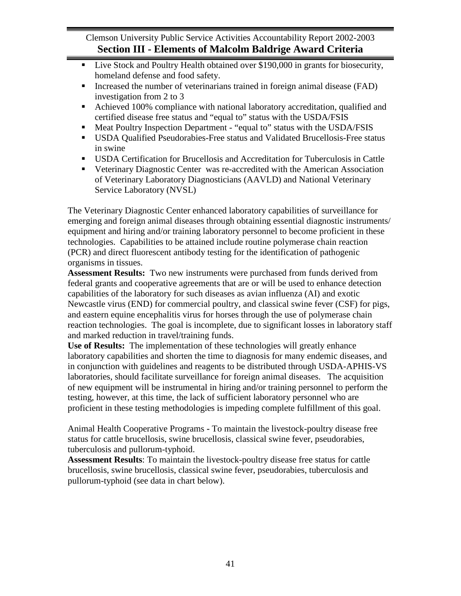- Live Stock and Poultry Health obtained over \$190,000 in grants for biosecurity, homeland defense and food safety.
- Increased the number of veterinarians trained in foreign animal disease (FAD) investigation from 2 to 3
- Achieved 100% compliance with national laboratory accreditation, qualified and certified disease free status and "equal to" status with the USDA/FSIS
- Meat Poultry Inspection Department "equal to" status with the USDA/FSIS
- USDA Qualified Pseudorabies-Free status and Validated Brucellosis-Free status in swine
- USDA Certification for Brucellosis and Accreditation for Tuberculosis in Cattle
- Veterinary Diagnostic Center was re-accredited with the American Association of Veterinary Laboratory Diagnosticians (AAVLD) and National Veterinary Service Laboratory (NVSL)

The Veterinary Diagnostic Center enhanced laboratory capabilities of surveillance for emerging and foreign animal diseases through obtaining essential diagnostic instruments/ equipment and hiring and/or training laboratory personnel to become proficient in these technologies. Capabilities to be attained include routine polymerase chain reaction (PCR) and direct fluorescent antibody testing for the identification of pathogenic organisms in tissues.

**Assessment Results:** Two new instruments were purchased from funds derived from federal grants and cooperative agreements that are or will be used to enhance detection capabilities of the laboratory for such diseases as avian influenza (AI) and exotic Newcastle virus (END) for commercial poultry, and classical swine fever (CSF) for pigs, and eastern equine encephalitis virus for horses through the use of polymerase chain reaction technologies. The goal is incomplete, due to significant losses in laboratory staff and marked reduction in travel/training funds.

**Use of Results:** The implementation of these technologies will greatly enhance laboratory capabilities and shorten the time to diagnosis for many endemic diseases, and in conjunction with guidelines and reagents to be distributed through USDA-APHIS-VS laboratories, should facilitate surveillance for foreign animal diseases. The acquisition of new equipment will be instrumental in hiring and/or training personnel to perform the testing, however, at this time, the lack of sufficient laboratory personnel who are proficient in these testing methodologies is impeding complete fulfillment of this goal.

Animal Health Cooperative Programs **-** To maintain the livestock-poultry disease free status for cattle brucellosis, swine brucellosis, classical swine fever, pseudorabies, tuberculosis and pullorum-typhoid.

**Assessment Results**: To maintain the livestock-poultry disease free status for cattle brucellosis, swine brucellosis, classical swine fever, pseudorabies, tuberculosis and pullorum-typhoid (see data in chart below).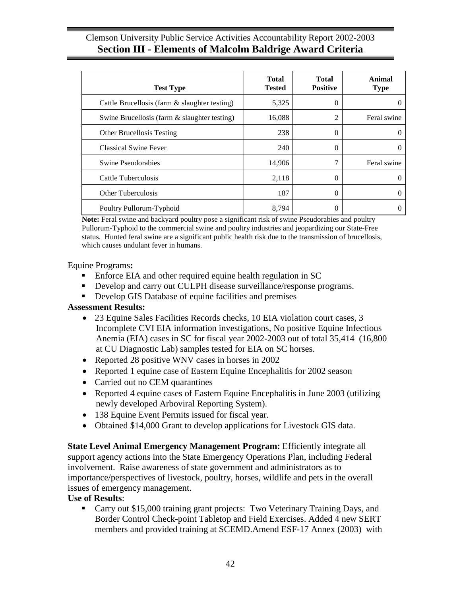| <b>Test Type</b>                              | <b>Total</b><br><b>Tested</b> | <b>Total</b><br><b>Positive</b> | Animal<br><b>Type</b> |
|-----------------------------------------------|-------------------------------|---------------------------------|-----------------------|
| Cattle Brucellosis (farm & slaughter testing) | 5,325                         | 0                               |                       |
| Swine Brucellosis (farm & slaughter testing)  | 16,088                        | 2                               | Feral swine           |
| <b>Other Brucellosis Testing</b>              | 238                           | $\Omega$                        |                       |
| <b>Classical Swine Fever</b>                  | 240                           | 0                               |                       |
| Swine Pseudorabies                            | 14,906                        | 7                               | Feral swine           |
| Cattle Tuberculosis                           | 2,118                         | $\theta$                        | 0                     |
| Other Tuberculosis                            | 187                           | 0                               |                       |
| Poultry Pullorum-Typhoid                      | 8,794                         | $\left( \right)$                |                       |

**Note:** Feral swine and backyard poultry pose a significant risk of swine Pseudorabies and poultry Pullorum-Typhoid to the commercial swine and poultry industries and jeopardizing our State-Free status. Hunted feral swine are a significant public health risk due to the transmission of brucellosis, which causes undulant fever in humans.

Equine Programs**:** 

- Enforce EIA and other required equine health regulation in SC
- Develop and carry out CULPH disease surveillance/response programs.
- Develop GIS Database of equine facilities and premises

## **Assessment Results:**

- 23 Equine Sales Facilities Records checks, 10 EIA violation court cases, 3 Incomplete CVI EIA information investigations, No positive Equine Infectious Anemia (EIA) cases in SC for fiscal year 2002-2003 out of total 35,414 (16,800 at CU Diagnostic Lab) samples tested for EIA on SC horses.
- Reported 28 positive WNV cases in horses in 2002
- Reported 1 equine case of Eastern Equine Encephalitis for 2002 season
- Carried out no CEM quarantines
- Reported 4 equine cases of Eastern Equine Encephalitis in June 2003 (utilizing newly developed Arboviral Reporting System).
- 138 Equine Event Permits issued for fiscal year.
- Obtained \$14,000 Grant to develop applications for Livestock GIS data.

**State Level Animal Emergency Management Program:** Efficiently integrate all support agency actions into the State Emergency Operations Plan, including Federal involvement. Raise awareness of state government and administrators as to importance/perspectives of livestock, poultry, horses, wildlife and pets in the overall issues of emergency management.

## **Use of Results**:

**Carry out \$15,000 training grant projects: Two Veterinary Training Days, and** Border Control Check-point Tabletop and Field Exercises. Added 4 new SERT members and provided training at SCEMD.Amend ESF-17 Annex (2003) with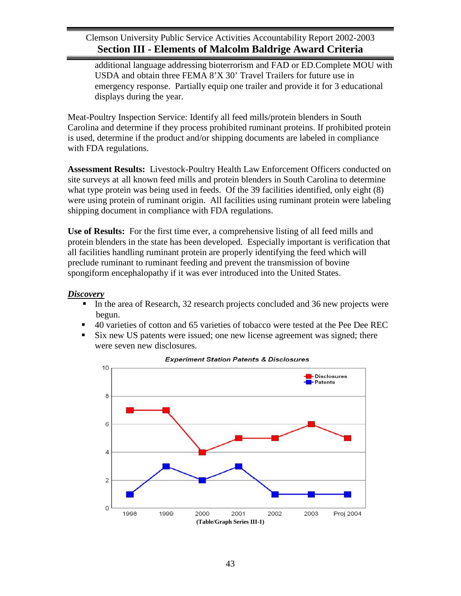additional language addressing bioterrorism and FAD or ED.Complete MOU with USDA and obtain three FEMA 8'X 30' Travel Trailers for future use in emergency response. Partially equip one trailer and provide it for 3 educational displays during the year.

Meat-Poultry Inspection Service: Identify all feed mills/protein blenders in South Carolina and determine if they process prohibited ruminant proteins. If prohibited protein is used, determine if the product and/or shipping documents are labeled in compliance with FDA regulations.

**Assessment Results:** Livestock-Poultry Health Law Enforcement Officers conducted on site surveys at all known feed mills and protein blenders in South Carolina to determine what type protein was being used in feeds. Of the 39 facilities identified, only eight (8) were using protein of ruminant origin. All facilities using ruminant protein were labeling shipping document in compliance with FDA regulations.

**Use of Results:** For the first time ever, a comprehensive listing of all feed mills and protein blenders in the state has been developed. Especially important is verification that all facilities handling ruminant protein are properly identifying the feed which will preclude ruminant to ruminant feeding and prevent the transmission of bovine spongiform encephalopathy if it was ever introduced into the United States.

## *Discovery*

- In the area of Research, 32 research projects concluded and 36 new projects were begun.
- 40 varieties of cotton and 65 varieties of tobacco were tested at the Pee Dee REC
- Six new US patents were issued; one new license agreement was signed; there were seven new disclosures.

![](_page_46_Figure_9.jpeg)

#### **Experiment Station Patents & Disclosures**